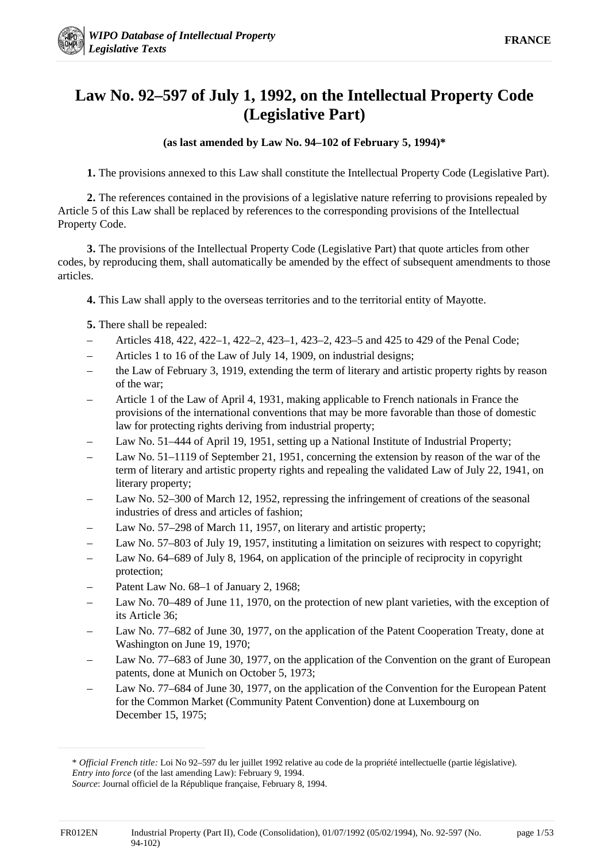# **Law No. 92–597 of July 1, 1992, on the Intellectual Property Code (Legislative Part)**

# **(as last amended by Law No. 94–102 of February 5, 1994)\***

**1.** The provisions annexed to this Law shall constitute the Intellectual Property Code (Legislative Part).

**2.** The references contained in the provisions of a legislative nature referring to provisions repealed by Article 5 of this Law shall be replaced by references to the corresponding provisions of the Intellectual Property Code.

**3.** The provisions of the Intellectual Property Code (Legislative Part) that quote articles from other codes, by reproducing them, shall automatically be amended by the effect of subsequent amendments to those articles.

**4.** This Law shall apply to the overseas territories and to the territorial entity of Mayotte.

**5.** There shall be repealed:

- Articles 418, 422, 422–1, 422–2, 423–1, 423–2, 423–5 and 425 to 429 of the Penal Code;
- Articles 1 to 16 of the Law of July 14, 1909, on industrial designs;
- the Law of February 3, 1919, extending the term of literary and artistic property rights by reason of the war;
- Article 1 of the Law of April 4, 1931, making applicable to French nationals in France the provisions of the international conventions that may be more favorable than those of domestic law for protecting rights deriving from industrial property;
- Law No. 51–444 of April 19, 1951, setting up a National Institute of Industrial Property;
- Law No. 51–1119 of September 21, 1951, concerning the extension by reason of the war of the term of literary and artistic property rights and repealing the validated Law of July 22, 1941, on literary property;
- Law No. 52–300 of March 12, 1952, repressing the infringement of creations of the seasonal industries of dress and articles of fashion;
- Law No. 57–298 of March 11, 1957, on literary and artistic property;
- Law No. 57–803 of July 19, 1957, instituting a limitation on seizures with respect to copyright;
- Law No. 64–689 of July 8, 1964, on application of the principle of reciprocity in copyright protection;
- Patent Law No. 68–1 of January 2, 1968;
- Law No. 70–489 of June 11, 1970, on the protection of new plant varieties, with the exception of its Article 36;
- Law No. 77–682 of June 30, 1977, on the application of the Patent Cooperation Treaty, done at Washington on June 19, 1970;
- Law No. 77–683 of June 30, 1977, on the application of the Convention on the grant of European patents, done at Munich on October 5, 1973;
- Law No. 77–684 of June 30, 1977, on the application of the Convention for the European Patent for the Common Market (Community Patent Convention) done at Luxembourg on December 15, 1975;

-

<sup>\*</sup> *Official French title:* Loi No 92–597 du ler juillet 1992 relative au code de la propriété intellectuelle (partie législative). *Entry into force* (of the last amending Law): February 9, 1994.

*Source*: Journal officiel de la République française, February 8, 1994.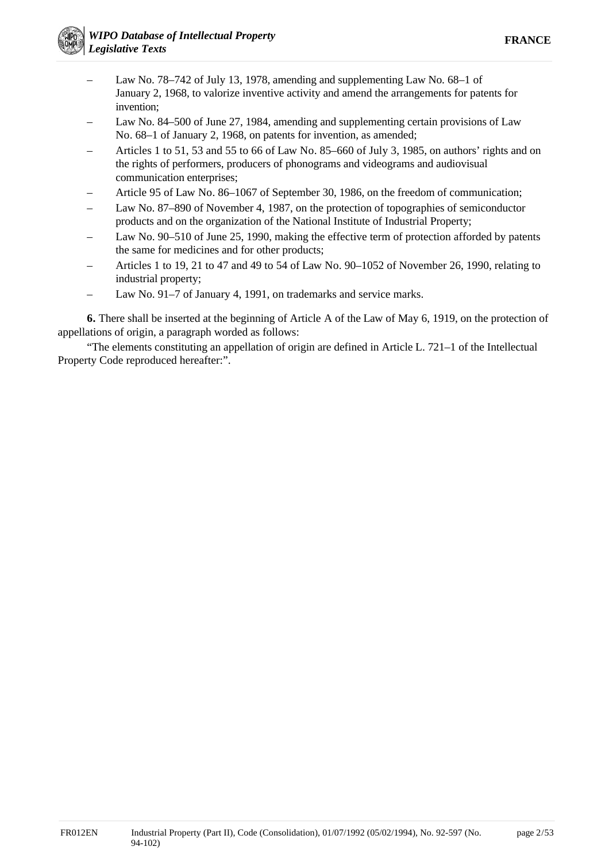- Law No. 78–742 of July 13, 1978, amending and supplementing Law No. 68–1 of January 2, 1968, to valorize inventive activity and amend the arrangements for patents for invention;
- Law No. 84–500 of June 27, 1984, amending and supplementing certain provisions of Law No. 68–1 of January 2, 1968, on patents for invention, as amended;
- Articles 1 to 51, 53 and 55 to 66 of Law No. 85–660 of July 3, 1985, on authors' rights and on the rights of performers, producers of phonograms and videograms and audiovisual communication enterprises;
- Article 95 of Law No. 86–1067 of September 30, 1986, on the freedom of communication;
- Law No. 87–890 of November 4, 1987, on the protection of topographies of semiconductor products and on the organization of the National Institute of Industrial Property;
- Law No. 90–510 of June 25, 1990, making the effective term of protection afforded by patents the same for medicines and for other products;
- Articles 1 to 19, 21 to 47 and 49 to 54 of Law No. 90–1052 of November 26, 1990, relating to industrial property;
- Law No. 91–7 of January 4, 1991, on trademarks and service marks.

**6.** There shall be inserted at the beginning of Article A of the Law of May 6, 1919, on the protection of appellations of origin, a paragraph worded as follows:

"The elements constituting an appellation of origin are defined in Article L. 721–1 of the Intellectual Property Code reproduced hereafter:".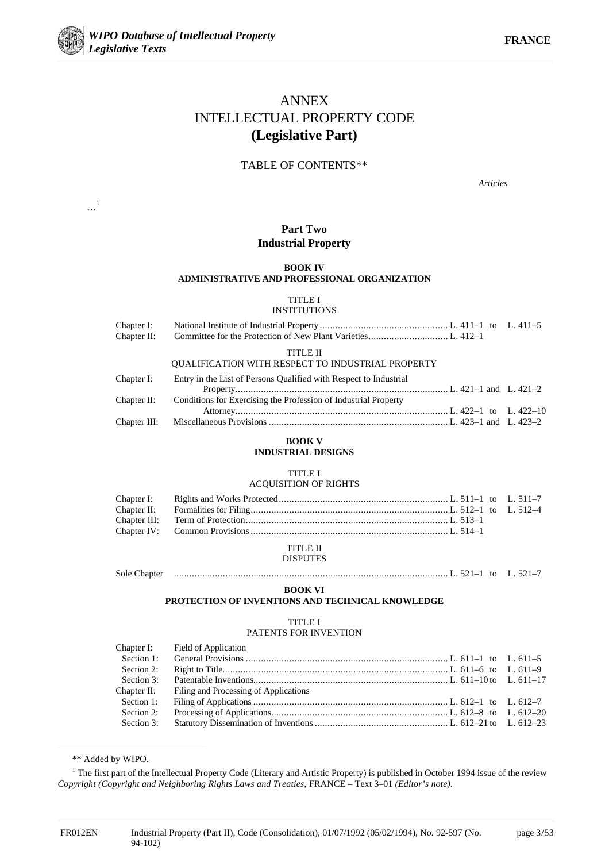

...1

# ANNEX INTELLECTUAL PROPERTY CODE **(Legislative Part)**

#### TABLE OF CONTENTS\*\*

*Articles*

#### **Part Two Industrial Property**

#### **BOOK IV ADMINISTRATIVE AND PROFESSIONAL ORGANIZATION**

TITLE I

#### **INSTITUTIONS**

| TITLE II |  |
|----------|--|

#### QUALIFICATION WITH RESPECT TO INDUSTRIAL PROPERTY

| Chapter I: | Entry in the List of Persons Qualified with Respect to Industrial           |  |
|------------|-----------------------------------------------------------------------------|--|
|            |                                                                             |  |
|            | Chapter II: Conditions for Exercising the Profession of Industrial Property |  |
|            |                                                                             |  |
|            |                                                                             |  |

#### **BOOK V**

#### **INDUSTRIAL DESIGNS**

#### TITLE I

#### ACQUISITION OF RIGHTS

# TITLE II

# DISPUTES

#### Sole Chapter ........................................................................................................... L. 521–1 to L. 521–7

#### **BOOK VI**

**PROTECTION OF INVENTIONS AND TECHNICAL KNOWLEDGE**

#### TITLE I

### PATENTS FOR INVENTION

|             | Chapter I: Field of Application       |  |
|-------------|---------------------------------------|--|
|             |                                       |  |
| Section 2:  |                                       |  |
|             |                                       |  |
| Chapter II: | Filing and Processing of Applications |  |
| Section 1:  |                                       |  |
| Section 2:  |                                       |  |
|             |                                       |  |
|             |                                       |  |

\*\* Added by WIPO.

<sup>1</sup> The first part of the Intellectual Property Code (Literary and Artistic Property) is published in October 1994 issue of the review *Copyright (Copyright and Neighboring Rights Laws and Treaties,* FRANCE – Text 3–01 *(Editor's note)*.

<u>.</u>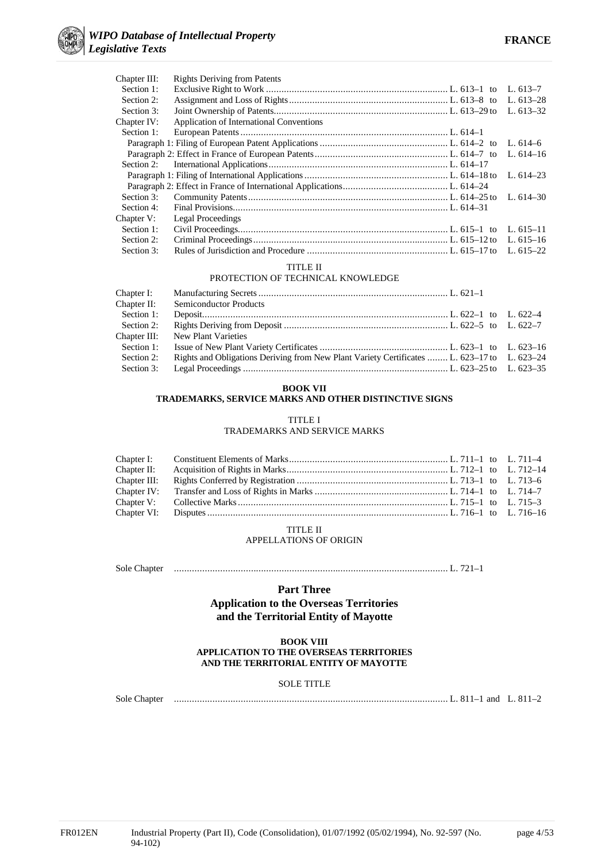

| <b>Rights Deriving from Patents</b>      |             |
|------------------------------------------|-------------|
|                                          | L. $613-7$  |
|                                          | L. $613-28$ |
|                                          | L. $613-32$ |
| Application of International Conventions |             |
|                                          |             |
|                                          |             |
|                                          | L. $614-16$ |
|                                          |             |
|                                          | L. $614-23$ |
|                                          |             |
|                                          | L. $614-30$ |
|                                          |             |
| Legal Proceedings                        |             |
|                                          | L. $615-11$ |
|                                          | L. $615-16$ |
|                                          | L. $615-22$ |
|                                          |             |

#### TITLE II PROTECTION OF TECHNICAL KNOWLEDGE

| Chapter I:   |                                                                                             |  |
|--------------|---------------------------------------------------------------------------------------------|--|
| Chapter II:  | <b>Semiconductor Products</b>                                                               |  |
| Section 1:   |                                                                                             |  |
| Section 2:   |                                                                                             |  |
| Chapter III: | New Plant Varieties                                                                         |  |
| Section 1:   |                                                                                             |  |
| Section 2:   | Rights and Obligations Deriving from New Plant Variety Certificates  L. 623–17 to L. 623–24 |  |
| Section 3:   |                                                                                             |  |

#### **BOOK VII**

#### **TRADEMARKS, SERVICE MARKS AND OTHER DISTINCTIVE SIGNS**

#### TITLE I

TRADEMARKS AND SERVICE MARKS

#### TITLE II

#### APPELLATIONS OF ORIGIN

Sole Chapter ........................................................................................................... L. 721–1

#### **Part Three**

**Application to the Overseas Territories and the Territorial Entity of Mayotte**

#### **BOOK VIII APPLICATION TO THE OVERSEAS TERRITORIES AND THE TERRITORIAL ENTITY OF MAYOTTE**

#### SOLE TITLE

Sole Chapter ........................................................................................................... L. 811–1 and L. 811–2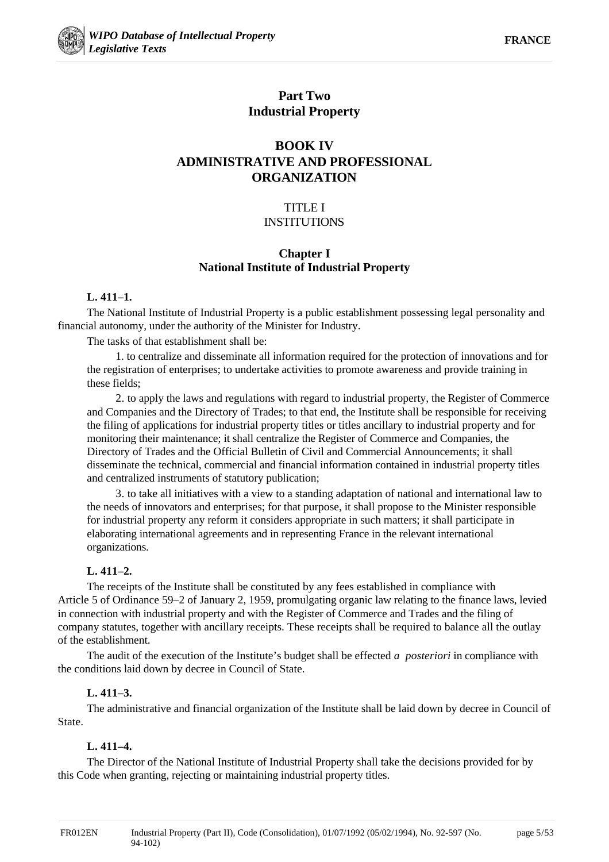

# **Part Two Industrial Property**

# **BOOK IV ADMINISTRATIVE AND PROFESSIONAL ORGANIZATION**

# TITLE I INSTITUTIONS

# **Chapter I National Institute of Industrial Property**

# **L. 411–1.**

The National Institute of Industrial Property is a public establishment possessing legal personality and financial autonomy, under the authority of the Minister for Industry.

The tasks of that establishment shall be:

1. to centralize and disseminate all information required for the protection of innovations and for the registration of enterprises; to undertake activities to promote awareness and provide training in these fields;

2. to apply the laws and regulations with regard to industrial property, the Register of Commerce and Companies and the Directory of Trades; to that end, the Institute shall be responsible for receiving the filing of applications for industrial property titles or titles ancillary to industrial property and for monitoring their maintenance; it shall centralize the Register of Commerce and Companies, the Directory of Trades and the Official Bulletin of Civil and Commercial Announcements; it shall disseminate the technical, commercial and financial information contained in industrial property titles and centralized instruments of statutory publication;

3. to take all initiatives with a view to a standing adaptation of national and international law to the needs of innovators and enterprises; for that purpose, it shall propose to the Minister responsible for industrial property any reform it considers appropriate in such matters; it shall participate in elaborating international agreements and in representing France in the relevant international organizations.

# **L. 411–2.**

The receipts of the Institute shall be constituted by any fees established in compliance with Article 5 of Ordinance 59–2 of January 2, 1959, promulgating organic law relating to the finance laws, levied in connection with industrial property and with the Register of Commerce and Trades and the filing of company statutes, together with ancillary receipts. These receipts shall be required to balance all the outlay of the establishment.

The audit of the execution of the Institute's budget shall be effected *a posteriori* in compliance with the conditions laid down by decree in Council of State.

# **L. 411–3.**

The administrative and financial organization of the Institute shall be laid down by decree in Council of State.

# **L. 411–4.**

The Director of the National Institute of Industrial Property shall take the decisions provided for by this Code when granting, rejecting or maintaining industrial property titles.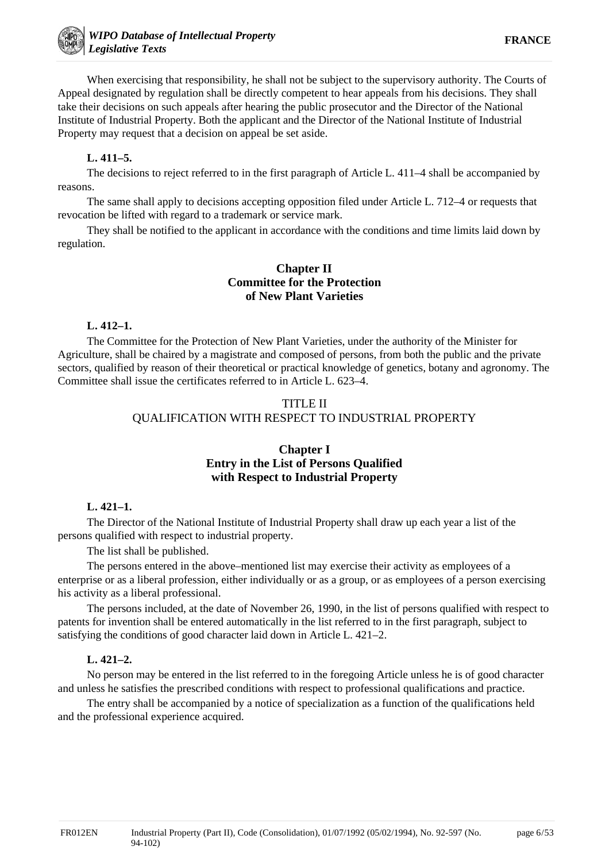When exercising that responsibility, he shall not be subject to the supervisory authority. The Courts of Appeal designated by regulation shall be directly competent to hear appeals from his decisions. They shall take their decisions on such appeals after hearing the public prosecutor and the Director of the National Institute of Industrial Property. Both the applicant and the Director of the National Institute of Industrial Property may request that a decision on appeal be set aside.

### **L. 411–5.**

The decisions to reject referred to in the first paragraph of Article L. 411–4 shall be accompanied by reasons.

The same shall apply to decisions accepting opposition filed under Article L. 712–4 or requests that revocation be lifted with regard to a trademark or service mark.

They shall be notified to the applicant in accordance with the conditions and time limits laid down by regulation.

# **Chapter II Committee for the Protection of New Plant Varieties**

#### **L. 412–1.**

The Committee for the Protection of New Plant Varieties, under the authority of the Minister for Agriculture, shall be chaired by a magistrate and composed of persons, from both the public and the private sectors, qualified by reason of their theoretical or practical knowledge of genetics, botany and agronomy. The Committee shall issue the certificates referred to in Article L. 623–4.

# TITLE II QUALIFICATION WITH RESPECT TO INDUSTRIAL PROPERTY

# **Chapter I Entry in the List of Persons Qualified with Respect to Industrial Property**

#### **L. 421–1.**

The Director of the National Institute of Industrial Property shall draw up each year a list of the persons qualified with respect to industrial property.

The list shall be published.

The persons entered in the above–mentioned list may exercise their activity as employees of a enterprise or as a liberal profession, either individually or as a group, or as employees of a person exercising his activity as a liberal professional.

The persons included, at the date of November 26, 1990, in the list of persons qualified with respect to patents for invention shall be entered automatically in the list referred to in the first paragraph, subject to satisfying the conditions of good character laid down in Article L. 421–2.

#### **L. 421–2.**

No person may be entered in the list referred to in the foregoing Article unless he is of good character and unless he satisfies the prescribed conditions with respect to professional qualifications and practice.

The entry shall be accompanied by a notice of specialization as a function of the qualifications held and the professional experience acquired.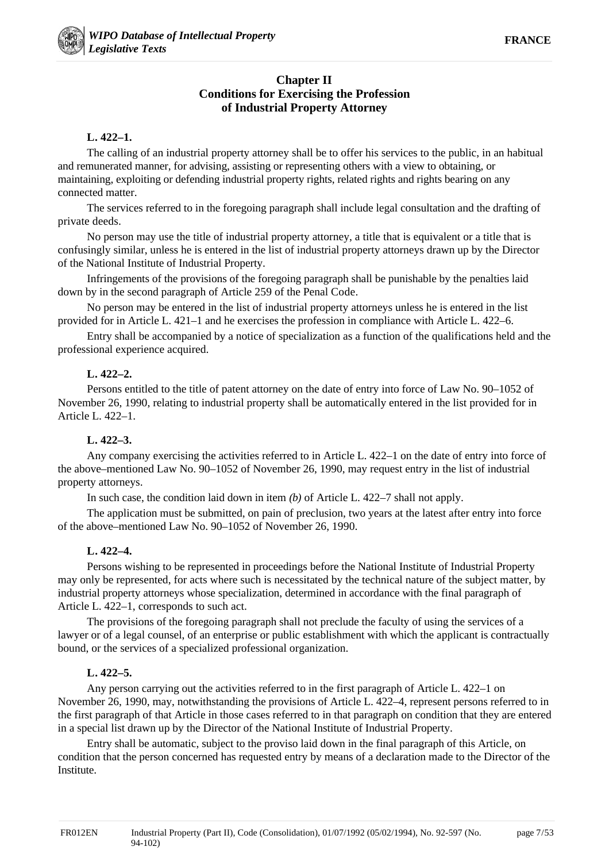# **Chapter II Conditions for Exercising the Profession of Industrial Property Attorney**

### **L. 422–1.**

The calling of an industrial property attorney shall be to offer his services to the public, in an habitual and remunerated manner, for advising, assisting or representing others with a view to obtaining, or maintaining, exploiting or defending industrial property rights, related rights and rights bearing on any connected matter.

The services referred to in the foregoing paragraph shall include legal consultation and the drafting of private deeds.

No person may use the title of industrial property attorney, a title that is equivalent or a title that is confusingly similar, unless he is entered in the list of industrial property attorneys drawn up by the Director of the National Institute of Industrial Property.

Infringements of the provisions of the foregoing paragraph shall be punishable by the penalties laid down by in the second paragraph of Article 259 of the Penal Code.

No person may be entered in the list of industrial property attorneys unless he is entered in the list provided for in Article L. 421–1 and he exercises the profession in compliance with Article L. 422–6.

Entry shall be accompanied by a notice of specialization as a function of the qualifications held and the professional experience acquired.

### **L. 422–2.**

Persons entitled to the title of patent attorney on the date of entry into force of Law No. 90–1052 of November 26, 1990, relating to industrial property shall be automatically entered in the list provided for in Article L. 422–1.

# **L. 422–3.**

Any company exercising the activities referred to in Article L. 422–1 on the date of entry into force of the above–mentioned Law No. 90–1052 of November 26, 1990, may request entry in the list of industrial property attorneys.

In such case, the condition laid down in item *(b)* of Article L. 422–7 shall not apply.

The application must be submitted, on pain of preclusion, two years at the latest after entry into force of the above–mentioned Law No. 90–1052 of November 26, 1990.

#### **L. 422–4.**

Persons wishing to be represented in proceedings before the National Institute of Industrial Property may only be represented, for acts where such is necessitated by the technical nature of the subject matter, by industrial property attorneys whose specialization, determined in accordance with the final paragraph of Article L. 422–1, corresponds to such act.

The provisions of the foregoing paragraph shall not preclude the faculty of using the services of a lawyer or of a legal counsel, of an enterprise or public establishment with which the applicant is contractually bound, or the services of a specialized professional organization.

# **L. 422–5.**

Any person carrying out the activities referred to in the first paragraph of Article L. 422–1 on November 26, 1990, may, notwithstanding the provisions of Article L. 422–4, represent persons referred to in the first paragraph of that Article in those cases referred to in that paragraph on condition that they are entered in a special list drawn up by the Director of the National Institute of Industrial Property.

Entry shall be automatic, subject to the proviso laid down in the final paragraph of this Article, on condition that the person concerned has requested entry by means of a declaration made to the Director of the Institute.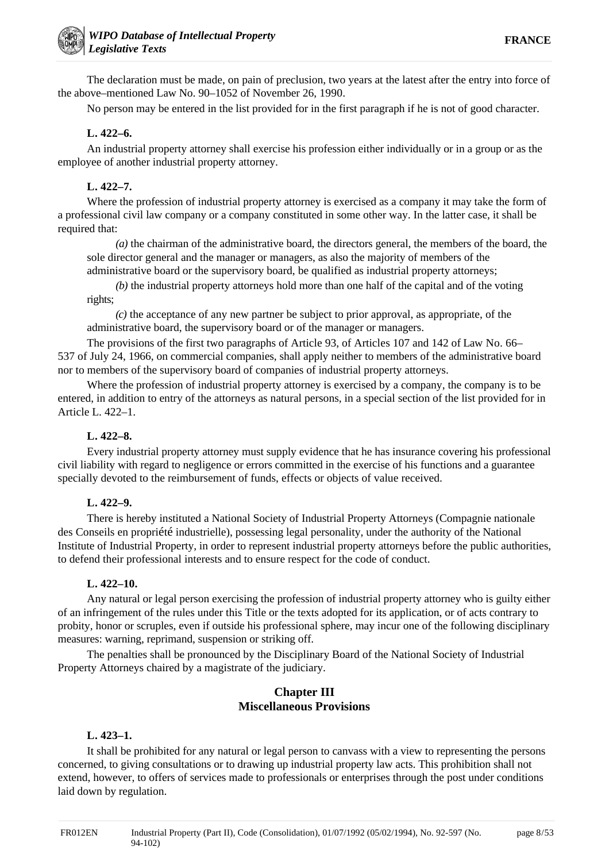The declaration must be made, on pain of preclusion, two years at the latest after the entry into force of the above–mentioned Law No. 90–1052 of November 26, 1990.

No person may be entered in the list provided for in the first paragraph if he is not of good character.

# **L. 422–6.**

An industrial property attorney shall exercise his profession either individually or in a group or as the employee of another industrial property attorney.

# **L. 422–7.**

Where the profession of industrial property attorney is exercised as a company it may take the form of a professional civil law company or a company constituted in some other way. In the latter case, it shall be required that:

*(a)* the chairman of the administrative board, the directors general, the members of the board, the sole director general and the manager or managers, as also the majority of members of the administrative board or the supervisory board, be qualified as industrial property attorneys;

*(b)* the industrial property attorneys hold more than one half of the capital and of the voting rights;

*(c)* the acceptance of any new partner be subject to prior approval, as appropriate, of the administrative board, the supervisory board or of the manager or managers.

The provisions of the first two paragraphs of Article 93, of Articles 107 and 142 of Law No. 66– 537 of July 24, 1966, on commercial companies, shall apply neither to members of the administrative board nor to members of the supervisory board of companies of industrial property attorneys.

Where the profession of industrial property attorney is exercised by a company, the company is to be entered, in addition to entry of the attorneys as natural persons, in a special section of the list provided for in Article L. 422–1.

# **L. 422–8.**

Every industrial property attorney must supply evidence that he has insurance covering his professional civil liability with regard to negligence or errors committed in the exercise of his functions and a guarantee specially devoted to the reimbursement of funds, effects or objects of value received.

# **L. 422–9.**

There is hereby instituted a National Society of Industrial Property Attorneys (Compagnie nationale des Conseils en propriété industrielle), possessing legal personality, under the authority of the National Institute of Industrial Property, in order to represent industrial property attorneys before the public authorities, to defend their professional interests and to ensure respect for the code of conduct.

# **L. 422–10.**

Any natural or legal person exercising the profession of industrial property attorney who is guilty either of an infringement of the rules under this Title or the texts adopted for its application, or of acts contrary to probity, honor or scruples, even if outside his professional sphere, may incur one of the following disciplinary measures: warning, reprimand, suspension or striking off.

The penalties shall be pronounced by the Disciplinary Board of the National Society of Industrial Property Attorneys chaired by a magistrate of the judiciary.

# **Chapter III Miscellaneous Provisions**

# **L. 423–1.**

It shall be prohibited for any natural or legal person to canvass with a view to representing the persons concerned, to giving consultations or to drawing up industrial property law acts. This prohibition shall not extend, however, to offers of services made to professionals or enterprises through the post under conditions laid down by regulation.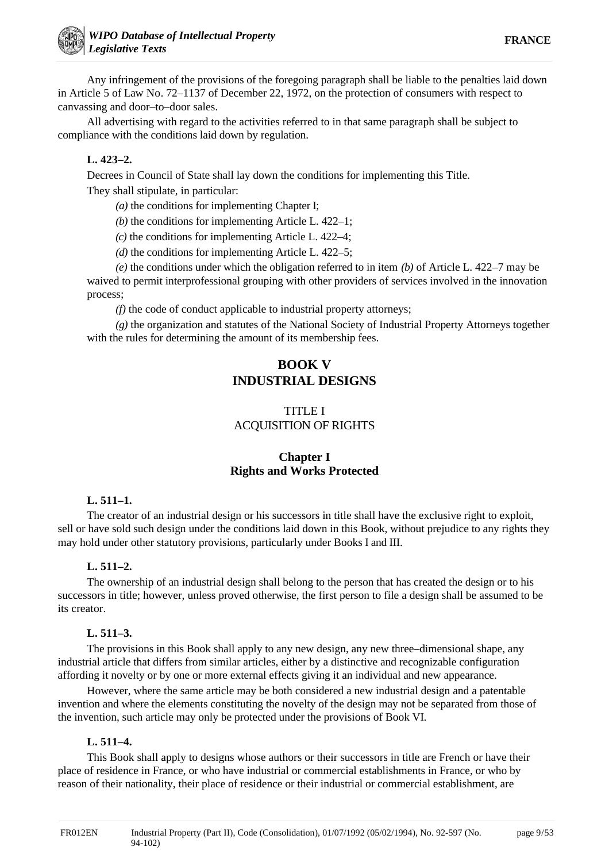Any infringement of the provisions of the foregoing paragraph shall be liable to the penalties laid down in Article 5 of Law No. 72–1137 of December 22, 1972, on the protection of consumers with respect to canvassing and door–to–door sales.

All advertising with regard to the activities referred to in that same paragraph shall be subject to compliance with the conditions laid down by regulation.

# **L. 423–2.**

Decrees in Council of State shall lay down the conditions for implementing this Title. They shall stipulate, in particular:

*(a)* the conditions for implementing Chapter I;

*(b)* the conditions for implementing Article L. 422–1;

*(c)* the conditions for implementing Article L. 422–4;

*(d)* the conditions for implementing Article L. 422–5;

*(e)* the conditions under which the obligation referred to in item *(b)* of Article L. 422–7 may be waived to permit interprofessional grouping with other providers of services involved in the innovation process;

*(f)* the code of conduct applicable to industrial property attorneys;

*(g)* the organization and statutes of the National Society of Industrial Property Attorneys together with the rules for determining the amount of its membership fees.

# **BOOK V INDUSTRIAL DESIGNS**

# TITLE I ACQUISITION OF RIGHTS

# **Chapter I Rights and Works Protected**

# **L. 511–1.**

The creator of an industrial design or his successors in title shall have the exclusive right to exploit, sell or have sold such design under the conditions laid down in this Book, without prejudice to any rights they may hold under other statutory provisions, particularly under Books I and III.

# **L. 511–2.**

The ownership of an industrial design shall belong to the person that has created the design or to his successors in title; however, unless proved otherwise, the first person to file a design shall be assumed to be its creator.

#### **L. 511–3.**

The provisions in this Book shall apply to any new design, any new three–dimensional shape, any industrial article that differs from similar articles, either by a distinctive and recognizable configuration affording it novelty or by one or more external effects giving it an individual and new appearance.

However, where the same article may be both considered a new industrial design and a patentable invention and where the elements constituting the novelty of the design may not be separated from those of the invention, such article may only be protected under the provisions of Book VI.

#### **L. 511–4.**

This Book shall apply to designs whose authors or their successors in title are French or have their place of residence in France, or who have industrial or commercial establishments in France, or who by reason of their nationality, their place of residence or their industrial or commercial establishment, are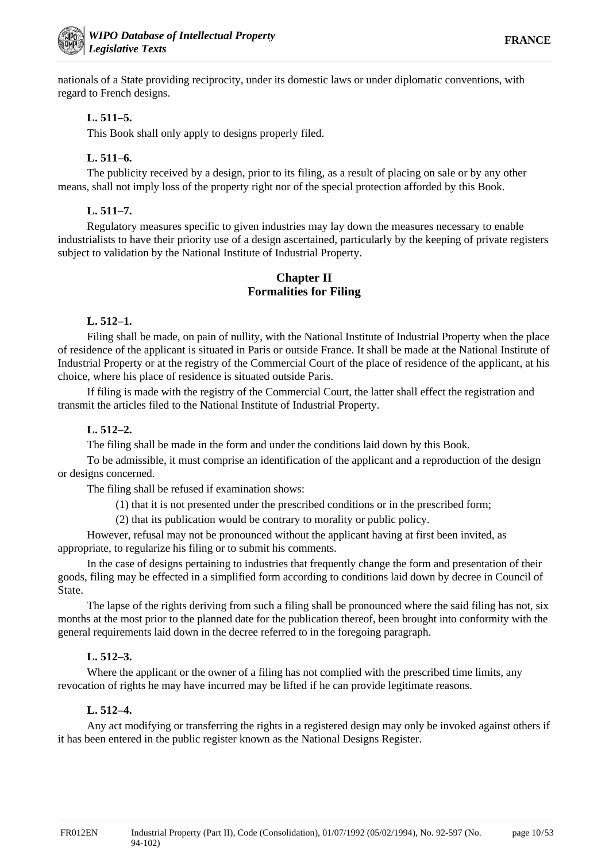nationals of a State providing reciprocity, under its domestic laws or under diplomatic conventions, with regard to French designs.

# **L. 511–5.**

This Book shall only apply to designs properly filed.

# **L. 511–6.**

The publicity received by a design, prior to its filing, as a result of placing on sale or by any other means, shall not imply loss of the property right nor of the special protection afforded by this Book.

# **L. 511–7.**

Regulatory measures specific to given industries may lay down the measures necessary to enable industrialists to have their priority use of a design ascertained, particularly by the keeping of private registers subject to validation by the National Institute of Industrial Property.

# **Chapter II Formalities for Filing**

# **L. 512–1.**

Filing shall be made, on pain of nullity, with the National Institute of Industrial Property when the place of residence of the applicant is situated in Paris or outside France. It shall be made at the National Institute of Industrial Property or at the registry of the Commercial Court of the place of residence of the applicant, at his choice, where his place of residence is situated outside Paris.

If filing is made with the registry of the Commercial Court, the latter shall effect the registration and transmit the articles filed to the National Institute of Industrial Property.

# **L. 512–2.**

The filing shall be made in the form and under the conditions laid down by this Book.

To be admissible, it must comprise an identification of the applicant and a reproduction of the design or designs concerned.

The filing shall be refused if examination shows:

(1) that it is not presented under the prescribed conditions or in the prescribed form;

(2) that its publication would be contrary to morality or public policy.

However, refusal may not be pronounced without the applicant having at first been invited, as appropriate, to regularize his filing or to submit his comments.

In the case of designs pertaining to industries that frequently change the form and presentation of their goods, filing may be effected in a simplified form according to conditions laid down by decree in Council of State.

The lapse of the rights deriving from such a filing shall be pronounced where the said filing has not, six months at the most prior to the planned date for the publication thereof, been brought into conformity with the general requirements laid down in the decree referred to in the foregoing paragraph.

# **L. 512–3.**

Where the applicant or the owner of a filing has not complied with the prescribed time limits, any revocation of rights he may have incurred may be lifted if he can provide legitimate reasons.

# **L. 512–4.**

Any act modifying or transferring the rights in a registered design may only be invoked against others if it has been entered in the public register known as the National Designs Register.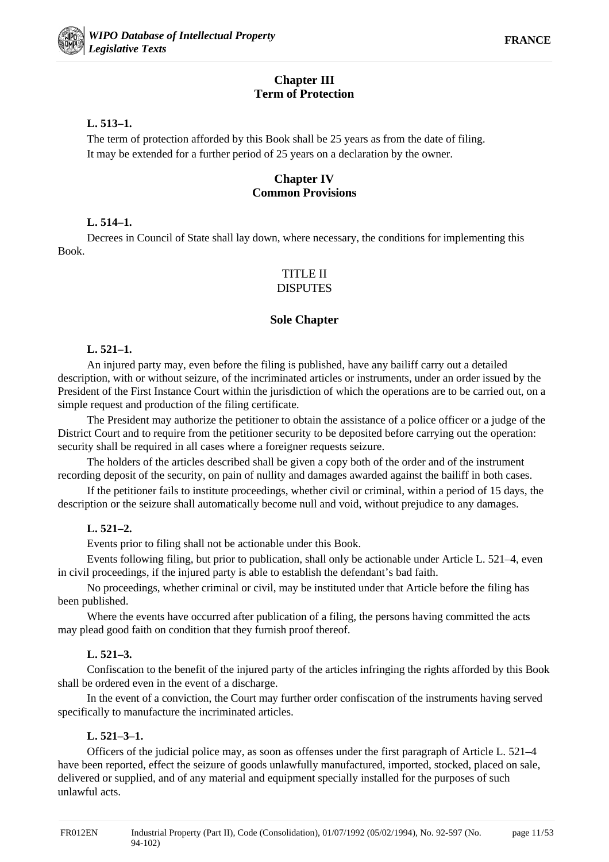# **Chapter III Term of Protection**

# **L. 513–1.**

The term of protection afforded by this Book shall be 25 years as from the date of filing. It may be extended for a further period of 25 years on a declaration by the owner.

# **Chapter IV Common Provisions**

# **L. 514–1.**

Decrees in Council of State shall lay down, where necessary, the conditions for implementing this Book.

#### TITLE II DISPUTES

# **Sole Chapter**

# **L. 521–1.**

An injured party may, even before the filing is published, have any bailiff carry out a detailed description, with or without seizure, of the incriminated articles or instruments, under an order issued by the President of the First Instance Court within the jurisdiction of which the operations are to be carried out, on a simple request and production of the filing certificate.

The President may authorize the petitioner to obtain the assistance of a police officer or a judge of the District Court and to require from the petitioner security to be deposited before carrying out the operation: security shall be required in all cases where a foreigner requests seizure.

The holders of the articles described shall be given a copy both of the order and of the instrument recording deposit of the security, on pain of nullity and damages awarded against the bailiff in both cases.

If the petitioner fails to institute proceedings, whether civil or criminal, within a period of 15 days, the description or the seizure shall automatically become null and void, without prejudice to any damages.

# **L. 521–2.**

Events prior to filing shall not be actionable under this Book.

Events following filing, but prior to publication, shall only be actionable under Article L. 521–4, even in civil proceedings, if the injured party is able to establish the defendant's bad faith.

No proceedings, whether criminal or civil, may be instituted under that Article before the filing has been published.

Where the events have occurred after publication of a filing, the persons having committed the acts may plead good faith on condition that they furnish proof thereof.

# **L. 521–3.**

Confiscation to the benefit of the injured party of the articles infringing the rights afforded by this Book shall be ordered even in the event of a discharge.

In the event of a conviction, the Court may further order confiscation of the instruments having served specifically to manufacture the incriminated articles.

# **L. 521–3–1.**

Officers of the judicial police may, as soon as offenses under the first paragraph of Article L. 521–4 have been reported, effect the seizure of goods unlawfully manufactured, imported, stocked, placed on sale, delivered or supplied, and of any material and equipment specially installed for the purposes of such unlawful acts.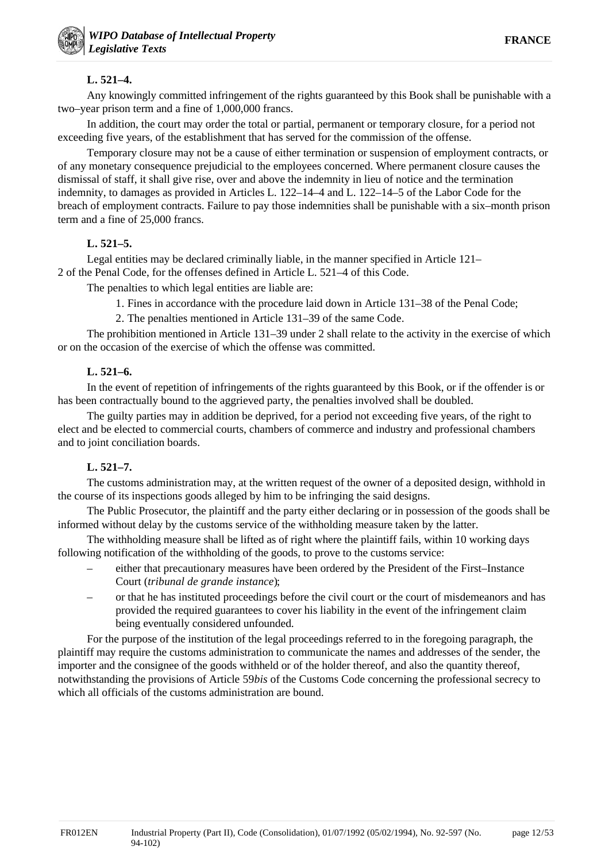# **L. 521–4.**

Any knowingly committed infringement of the rights guaranteed by this Book shall be punishable with a two–year prison term and a fine of 1,000,000 francs.

In addition, the court may order the total or partial, permanent or temporary closure, for a period not exceeding five years, of the establishment that has served for the commission of the offense.

Temporary closure may not be a cause of either termination or suspension of employment contracts, or of any monetary consequence prejudicial to the employees concerned. Where permanent closure causes the dismissal of staff, it shall give rise, over and above the indemnity in lieu of notice and the termination indemnity, to damages as provided in Articles L. 122–14–4 and L. 122–14–5 of the Labor Code for the breach of employment contracts. Failure to pay those indemnities shall be punishable with a six–month prison term and a fine of 25,000 francs.

# **L. 521–5.**

Legal entities may be declared criminally liable, in the manner specified in Article 121– 2 of the Penal Code, for the offenses defined in Article L. 521–4 of this Code.

The penalties to which legal entities are liable are:

- 1. Fines in accordance with the procedure laid down in Article 131–38 of the Penal Code;
- 2. The penalties mentioned in Article 131–39 of the same Code.

The prohibition mentioned in Article 131–39 under 2 shall relate to the activity in the exercise of which or on the occasion of the exercise of which the offense was committed.

### **L. 521–6.**

In the event of repetition of infringements of the rights guaranteed by this Book, or if the offender is or has been contractually bound to the aggrieved party, the penalties involved shall be doubled.

The guilty parties may in addition be deprived, for a period not exceeding five years, of the right to elect and be elected to commercial courts, chambers of commerce and industry and professional chambers and to joint conciliation boards.

# **L. 521–7.**

The customs administration may, at the written request of the owner of a deposited design, withhold in the course of its inspections goods alleged by him to be infringing the said designs.

The Public Prosecutor, the plaintiff and the party either declaring or in possession of the goods shall be informed without delay by the customs service of the withholding measure taken by the latter.

The withholding measure shall be lifted as of right where the plaintiff fails, within 10 working days following notification of the withholding of the goods, to prove to the customs service:

- either that precautionary measures have been ordered by the President of the First–Instance Court (*tribunal de grande instance*);
- or that he has instituted proceedings before the civil court or the court of misdemeanors and has provided the required guarantees to cover his liability in the event of the infringement claim being eventually considered unfounded.

For the purpose of the institution of the legal proceedings referred to in the foregoing paragraph, the plaintiff may require the customs administration to communicate the names and addresses of the sender, the importer and the consignee of the goods withheld or of the holder thereof, and also the quantity thereof, notwithstanding the provisions of Article 59*bis* of the Customs Code concerning the professional secrecy to which all officials of the customs administration are bound.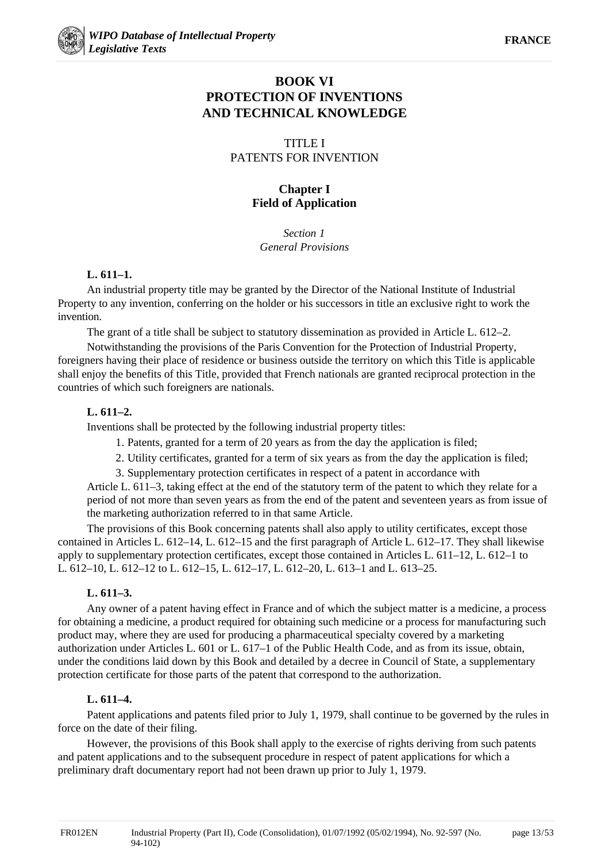# **BOOK VI PROTECTION OF INVENTIONS AND TECHNICAL KNOWLEDGE**

# TITLE I PATENTS FOR INVENTION

# **Chapter I Field of Application**

*Section 1 General Provisions*

### **L. 611–1.**

An industrial property title may be granted by the Director of the National Institute of Industrial Property to any invention, conferring on the holder or his successors in title an exclusive right to work the invention.

The grant of a title shall be subject to statutory dissemination as provided in Article L. 612–2.

Notwithstanding the provisions of the Paris Convention for the Protection of Industrial Property, foreigners having their place of residence or business outside the territory on which this Title is applicable shall enjoy the benefits of this Title, provided that French nationals are granted reciprocal protection in the countries of which such foreigners are nationals.

# **L. 611–2.**

Inventions shall be protected by the following industrial property titles:

- 1. Patents, granted for a term of 20 years as from the day the application is filed;
- 2. Utility certificates, granted for a term of six years as from the day the application is filed;
- 3. Supplementary protection certificates in respect of a patent in accordance with

Article L. 611–3, taking effect at the end of the statutory term of the patent to which they relate for a period of not more than seven years as from the end of the patent and seventeen years as from issue of the marketing authorization referred to in that same Article.

The provisions of this Book concerning patents shall also apply to utility certificates, except those contained in Articles L. 612–14, L. 612–15 and the first paragraph of Article L. 612–17. They shall likewise apply to supplementary protection certificates, except those contained in Articles L. 611–12, L. 612–1 to L. 612–10, L. 612–12 to L. 612–15, L. 612–17, L. 612–20, L. 613–1 and L. 613–25.

# **L. 611–3.**

Any owner of a patent having effect in France and of which the subject matter is a medicine, a process for obtaining a medicine, a product required for obtaining such medicine or a process for manufacturing such product may, where they are used for producing a pharmaceutical specialty covered by a marketing authorization under Articles L. 601 or L. 617–1 of the Public Health Code, and as from its issue, obtain, under the conditions laid down by this Book and detailed by a decree in Council of State, a supplementary protection certificate for those parts of the patent that correspond to the authorization.

# **L. 611–4.**

Patent applications and patents filed prior to July 1, 1979, shall continue to be governed by the rules in force on the date of their filing.

However, the provisions of this Book shall apply to the exercise of rights deriving from such patents and patent applications and to the subsequent procedure in respect of patent applications for which a preliminary draft documentary report had not been drawn up prior to July 1, 1979.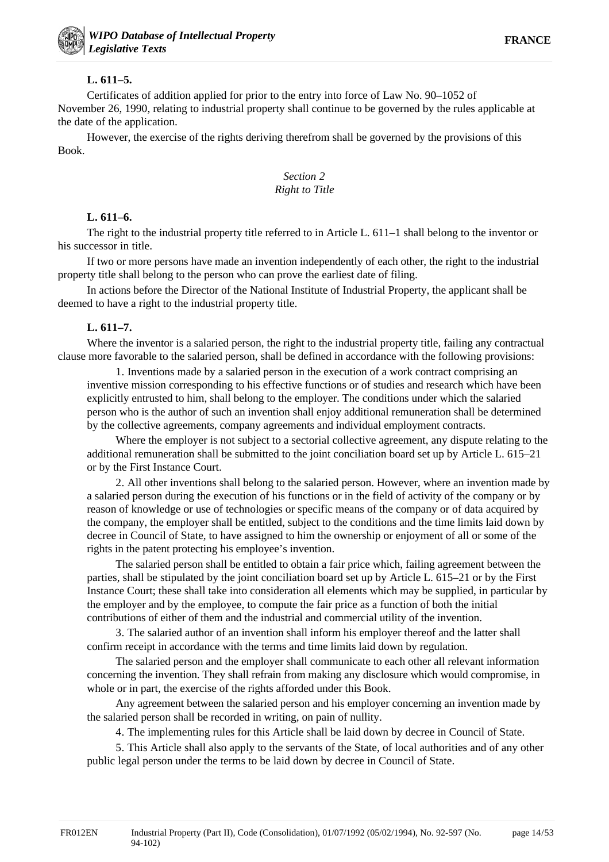### **L. 611–5.**

Certificates of addition applied for prior to the entry into force of Law No. 90–1052 of November 26, 1990, relating to industrial property shall continue to be governed by the rules applicable at the date of the application.

However, the exercise of the rights deriving therefrom shall be governed by the provisions of this Book.

### *Section 2 Right to Title*

# **L. 611–6.**

The right to the industrial property title referred to in Article L. 611–1 shall belong to the inventor or his successor in title.

If two or more persons have made an invention independently of each other, the right to the industrial property title shall belong to the person who can prove the earliest date of filing.

In actions before the Director of the National Institute of Industrial Property, the applicant shall be deemed to have a right to the industrial property title.

# **L. 611–7.**

Where the inventor is a salaried person, the right to the industrial property title, failing any contractual clause more favorable to the salaried person, shall be defined in accordance with the following provisions:

1. Inventions made by a salaried person in the execution of a work contract comprising an inventive mission corresponding to his effective functions or of studies and research which have been explicitly entrusted to him, shall belong to the employer. The conditions under which the salaried person who is the author of such an invention shall enjoy additional remuneration shall be determined by the collective agreements, company agreements and individual employment contracts.

Where the employer is not subject to a sectorial collective agreement, any dispute relating to the additional remuneration shall be submitted to the joint conciliation board set up by Article L. 615–21 or by the First Instance Court.

2. All other inventions shall belong to the salaried person. However, where an invention made by a salaried person during the execution of his functions or in the field of activity of the company or by reason of knowledge or use of technologies or specific means of the company or of data acquired by the company, the employer shall be entitled, subject to the conditions and the time limits laid down by decree in Council of State, to have assigned to him the ownership or enjoyment of all or some of the rights in the patent protecting his employee's invention.

The salaried person shall be entitled to obtain a fair price which, failing agreement between the parties, shall be stipulated by the joint conciliation board set up by Article L. 615–21 or by the First Instance Court; these shall take into consideration all elements which may be supplied, in particular by the employer and by the employee, to compute the fair price as a function of both the initial contributions of either of them and the industrial and commercial utility of the invention.

3. The salaried author of an invention shall inform his employer thereof and the latter shall confirm receipt in accordance with the terms and time limits laid down by regulation.

The salaried person and the employer shall communicate to each other all relevant information concerning the invention. They shall refrain from making any disclosure which would compromise, in whole or in part, the exercise of the rights afforded under this Book.

Any agreement between the salaried person and his employer concerning an invention made by the salaried person shall be recorded in writing, on pain of nullity.

4. The implementing rules for this Article shall be laid down by decree in Council of State.

5. This Article shall also apply to the servants of the State, of local authorities and of any other public legal person under the terms to be laid down by decree in Council of State.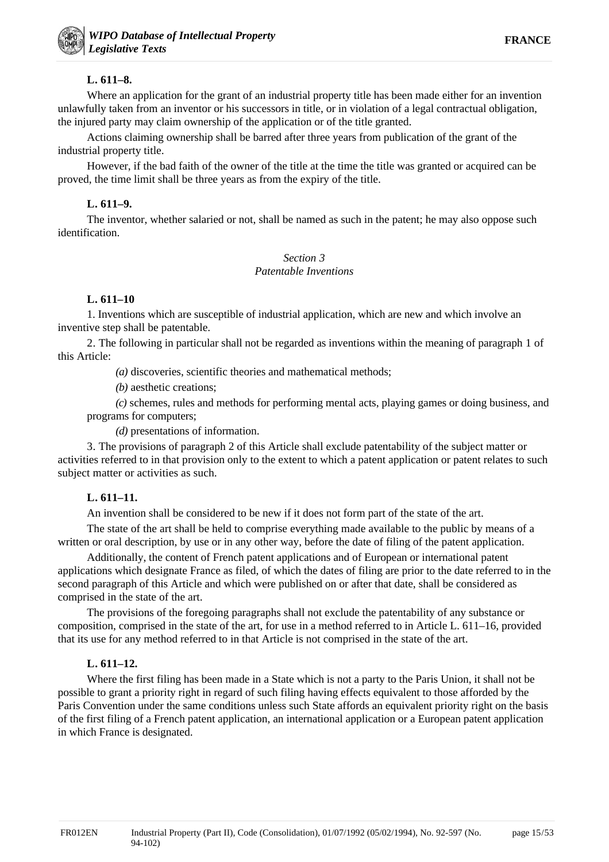# **L. 611–8.**

Where an application for the grant of an industrial property title has been made either for an invention unlawfully taken from an inventor or his successors in title, or in violation of a legal contractual obligation, the injured party may claim ownership of the application or of the title granted.

Actions claiming ownership shall be barred after three years from publication of the grant of the industrial property title.

However, if the bad faith of the owner of the title at the time the title was granted or acquired can be proved, the time limit shall be three years as from the expiry of the title.

# **L. 611–9.**

The inventor, whether salaried or not, shall be named as such in the patent; he may also oppose such identification.

#### *Section 3 Patentable Inventions*

# **L. 611–10**

1. Inventions which are susceptible of industrial application, which are new and which involve an inventive step shall be patentable.

2. The following in particular shall not be regarded as inventions within the meaning of paragraph 1 of this Article:

*(a)* discoveries, scientific theories and mathematical methods;

*(b)* aesthetic creations;

*(c)* schemes, rules and methods for performing mental acts, playing games or doing business, and programs for computers;

*(d)* presentations of information.

3. The provisions of paragraph 2 of this Article shall exclude patentability of the subject matter or activities referred to in that provision only to the extent to which a patent application or patent relates to such subject matter or activities as such.

# **L. 611–11.**

An invention shall be considered to be new if it does not form part of the state of the art.

The state of the art shall be held to comprise everything made available to the public by means of a written or oral description, by use or in any other way, before the date of filing of the patent application.

Additionally, the content of French patent applications and of European or international patent applications which designate France as filed, of which the dates of filing are prior to the date referred to in the second paragraph of this Article and which were published on or after that date, shall be considered as comprised in the state of the art.

The provisions of the foregoing paragraphs shall not exclude the patentability of any substance or composition, comprised in the state of the art, for use in a method referred to in Article L. 611–16, provided that its use for any method referred to in that Article is not comprised in the state of the art.

# **L. 611–12.**

Where the first filing has been made in a State which is not a party to the Paris Union, it shall not be possible to grant a priority right in regard of such filing having effects equivalent to those afforded by the Paris Convention under the same conditions unless such State affords an equivalent priority right on the basis of the first filing of a French patent application, an international application or a European patent application in which France is designated.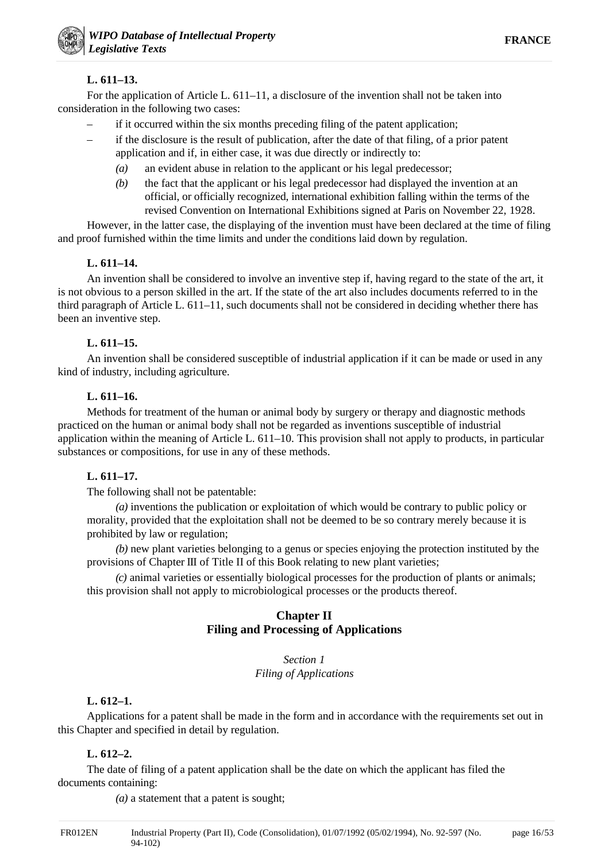# **L. 611–13.**

For the application of Article L. 611–11, a disclosure of the invention shall not be taken into consideration in the following two cases:

- if it occurred within the six months preceding filing of the patent application;
- if the disclosure is the result of publication, after the date of that filing, of a prior patent application and if, in either case, it was due directly or indirectly to:
	- *(a)* an evident abuse in relation to the applicant or his legal predecessor;
	- *(b)* the fact that the applicant or his legal predecessor had displayed the invention at an official, or officially recognized, international exhibition falling within the terms of the revised Convention on International Exhibitions signed at Paris on November 22, 1928.

However, in the latter case, the displaying of the invention must have been declared at the time of filing and proof furnished within the time limits and under the conditions laid down by regulation.

### **L. 611–14.**

An invention shall be considered to involve an inventive step if, having regard to the state of the art, it is not obvious to a person skilled in the art. If the state of the art also includes documents referred to in the third paragraph of Article L. 611–11, such documents shall not be considered in deciding whether there has been an inventive step.

# **L. 611–15.**

An invention shall be considered susceptible of industrial application if it can be made or used in any kind of industry, including agriculture.

# **L. 611–16.**

Methods for treatment of the human or animal body by surgery or therapy and diagnostic methods practiced on the human or animal body shall not be regarded as inventions susceptible of industrial application within the meaning of Article L. 611–10. This provision shall not apply to products, in particular substances or compositions, for use in any of these methods.

# **L. 611–17.**

The following shall not be patentable:

*(a)* inventions the publication or exploitation of which would be contrary to public policy or morality, provided that the exploitation shall not be deemed to be so contrary merely because it is prohibited by law or regulation;

*(b)* new plant varieties belonging to a genus or species enjoying the protection instituted by the provisions of Chapter III of Title II of this Book relating to new plant varieties;

*(c)* animal varieties or essentially biological processes for the production of plants or animals; this provision shall not apply to microbiological processes or the products thereof.

# **Chapter II Filing and Processing of Applications**

#### *Section 1 Filing of Applications*

# **L. 612–1.**

Applications for a patent shall be made in the form and in accordance with the requirements set out in this Chapter and specified in detail by regulation.

# **L. 612–2.**

The date of filing of a patent application shall be the date on which the applicant has filed the documents containing:

*(a)* a statement that a patent is sought;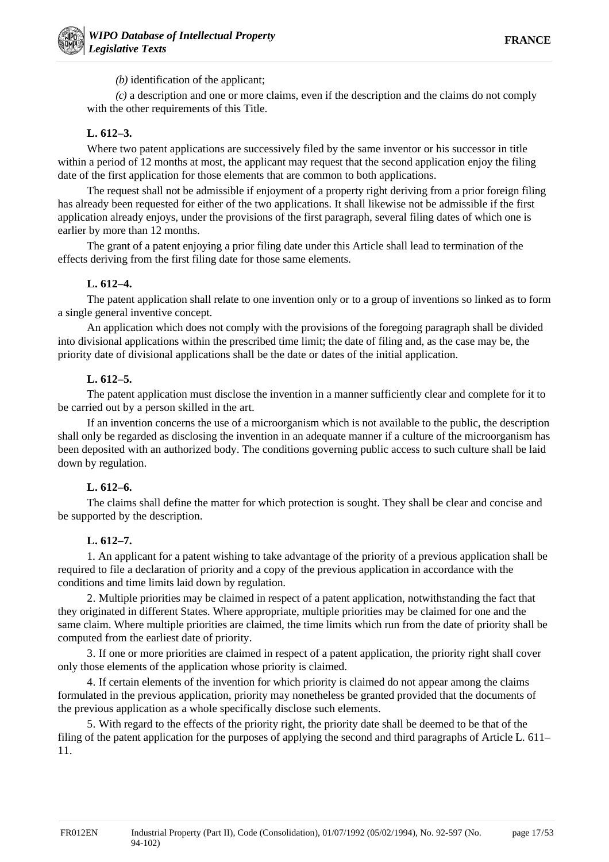*(b)* identification of the applicant;

*(c)* a description and one or more claims, even if the description and the claims do not comply with the other requirements of this Title.

# **L. 612–3.**

Where two patent applications are successively filed by the same inventor or his successor in title within a period of 12 months at most, the applicant may request that the second application enjoy the filing date of the first application for those elements that are common to both applications.

The request shall not be admissible if enjoyment of a property right deriving from a prior foreign filing has already been requested for either of the two applications. It shall likewise not be admissible if the first application already enjoys, under the provisions of the first paragraph, several filing dates of which one is earlier by more than 12 months.

The grant of a patent enjoying a prior filing date under this Article shall lead to termination of the effects deriving from the first filing date for those same elements.

# **L. 612–4.**

The patent application shall relate to one invention only or to a group of inventions so linked as to form a single general inventive concept.

An application which does not comply with the provisions of the foregoing paragraph shall be divided into divisional applications within the prescribed time limit; the date of filing and, as the case may be, the priority date of divisional applications shall be the date or dates of the initial application.

# **L. 612–5.**

The patent application must disclose the invention in a manner sufficiently clear and complete for it to be carried out by a person skilled in the art.

If an invention concerns the use of a microorganism which is not available to the public, the description shall only be regarded as disclosing the invention in an adequate manner if a culture of the microorganism has been deposited with an authorized body. The conditions governing public access to such culture shall be laid down by regulation.

# **L. 612–6.**

The claims shall define the matter for which protection is sought. They shall be clear and concise and be supported by the description.

# **L. 612–7.**

1. An applicant for a patent wishing to take advantage of the priority of a previous application shall be required to file a declaration of priority and a copy of the previous application in accordance with the conditions and time limits laid down by regulation.

2. Multiple priorities may be claimed in respect of a patent application, notwithstanding the fact that they originated in different States. Where appropriate, multiple priorities may be claimed for one and the same claim. Where multiple priorities are claimed, the time limits which run from the date of priority shall be computed from the earliest date of priority.

3. If one or more priorities are claimed in respect of a patent application, the priority right shall cover only those elements of the application whose priority is claimed.

4. If certain elements of the invention for which priority is claimed do not appear among the claims formulated in the previous application, priority may nonetheless be granted provided that the documents of the previous application as a whole specifically disclose such elements.

5. With regard to the effects of the priority right, the priority date shall be deemed to be that of the filing of the patent application for the purposes of applying the second and third paragraphs of Article L. 611– 11.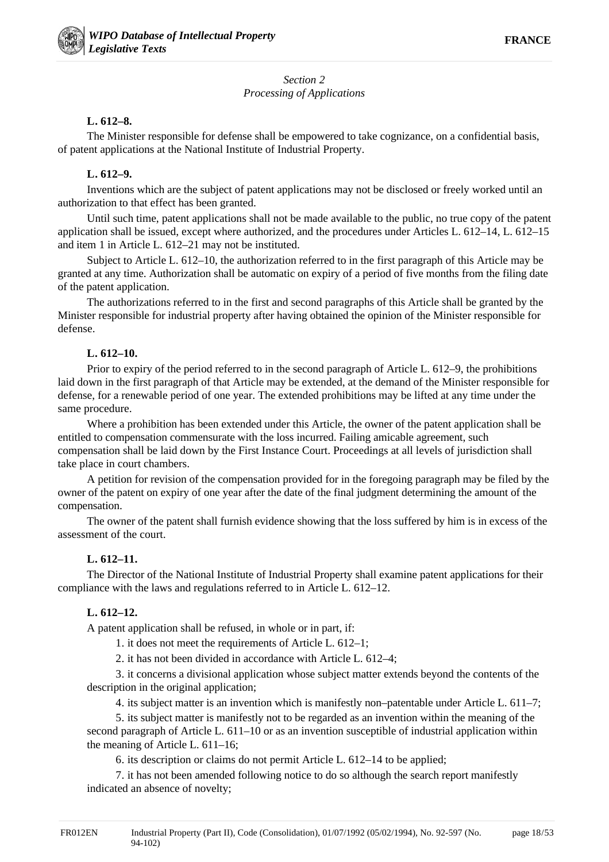# *Section 2 Processing of Applications*

### **L. 612–8.**

The Minister responsible for defense shall be empowered to take cognizance, on a confidential basis, of patent applications at the National Institute of Industrial Property.

### **L. 612–9.**

Inventions which are the subject of patent applications may not be disclosed or freely worked until an authorization to that effect has been granted.

Until such time, patent applications shall not be made available to the public, no true copy of the patent application shall be issued, except where authorized, and the procedures under Articles L. 612–14, L. 612–15 and item 1 in Article L. 612–21 may not be instituted.

Subject to Article L. 612–10, the authorization referred to in the first paragraph of this Article may be granted at any time. Authorization shall be automatic on expiry of a period of five months from the filing date of the patent application.

The authorizations referred to in the first and second paragraphs of this Article shall be granted by the Minister responsible for industrial property after having obtained the opinion of the Minister responsible for defense.

### **L. 612–10.**

Prior to expiry of the period referred to in the second paragraph of Article L. 612–9, the prohibitions laid down in the first paragraph of that Article may be extended, at the demand of the Minister responsible for defense, for a renewable period of one year. The extended prohibitions may be lifted at any time under the same procedure.

Where a prohibition has been extended under this Article, the owner of the patent application shall be entitled to compensation commensurate with the loss incurred. Failing amicable agreement, such compensation shall be laid down by the First Instance Court. Proceedings at all levels of jurisdiction shall take place in court chambers.

A petition for revision of the compensation provided for in the foregoing paragraph may be filed by the owner of the patent on expiry of one year after the date of the final judgment determining the amount of the compensation.

The owner of the patent shall furnish evidence showing that the loss suffered by him is in excess of the assessment of the court.

# **L. 612–11.**

The Director of the National Institute of Industrial Property shall examine patent applications for their compliance with the laws and regulations referred to in Article L. 612–12.

# **L. 612–12.**

A patent application shall be refused, in whole or in part, if:

1. it does not meet the requirements of Article L. 612–1;

2. it has not been divided in accordance with Article L. 612–4;

3. it concerns a divisional application whose subject matter extends beyond the contents of the description in the original application;

4. its subject matter is an invention which is manifestly non–patentable under Article L. 611–7;

5. its subject matter is manifestly not to be regarded as an invention within the meaning of the second paragraph of Article L. 611–10 or as an invention susceptible of industrial application within the meaning of Article L. 611–16;

6. its description or claims do not permit Article L. 612–14 to be applied;

7. it has not been amended following notice to do so although the search report manifestly indicated an absence of novelty;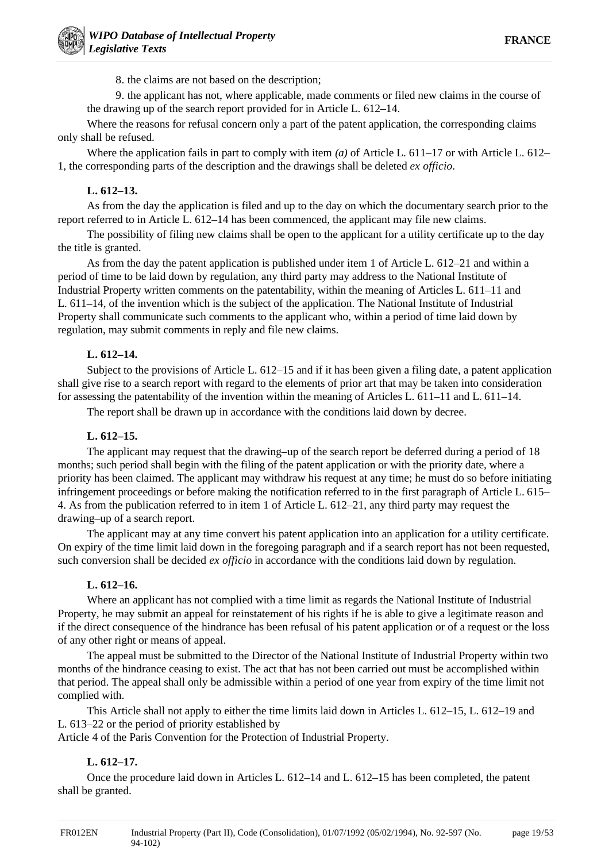8. the claims are not based on the description;

9. the applicant has not, where applicable, made comments or filed new claims in the course of the drawing up of the search report provided for in Article L. 612–14.

Where the reasons for refusal concern only a part of the patent application, the corresponding claims only shall be refused.

Where the application fails in part to comply with item *(a)* of Article L. 611–17 or with Article L. 612– 1, the corresponding parts of the description and the drawings shall be deleted *ex officio*.

# **L. 612–13.**

As from the day the application is filed and up to the day on which the documentary search prior to the report referred to in Article L. 612–14 has been commenced, the applicant may file new claims.

The possibility of filing new claims shall be open to the applicant for a utility certificate up to the day the title is granted.

As from the day the patent application is published under item 1 of Article L. 612–21 and within a period of time to be laid down by regulation, any third party may address to the National Institute of Industrial Property written comments on the patentability, within the meaning of Articles L. 611–11 and L. 611–14, of the invention which is the subject of the application. The National Institute of Industrial Property shall communicate such comments to the applicant who, within a period of time laid down by regulation, may submit comments in reply and file new claims.

# **L. 612–14.**

Subject to the provisions of Article L. 612–15 and if it has been given a filing date, a patent application shall give rise to a search report with regard to the elements of prior art that may be taken into consideration for assessing the patentability of the invention within the meaning of Articles L. 611–11 and L. 611–14.

The report shall be drawn up in accordance with the conditions laid down by decree.

# **L. 612–15.**

The applicant may request that the drawing–up of the search report be deferred during a period of 18 months; such period shall begin with the filing of the patent application or with the priority date, where a priority has been claimed. The applicant may withdraw his request at any time; he must do so before initiating infringement proceedings or before making the notification referred to in the first paragraph of Article L. 615– 4. As from the publication referred to in item 1 of Article L. 612–21, any third party may request the drawing–up of a search report.

The applicant may at any time convert his patent application into an application for a utility certificate. On expiry of the time limit laid down in the foregoing paragraph and if a search report has not been requested, such conversion shall be decided *ex officio* in accordance with the conditions laid down by regulation.

# **L. 612–16.**

Where an applicant has not complied with a time limit as regards the National Institute of Industrial Property, he may submit an appeal for reinstatement of his rights if he is able to give a legitimate reason and if the direct consequence of the hindrance has been refusal of his patent application or of a request or the loss of any other right or means of appeal.

The appeal must be submitted to the Director of the National Institute of Industrial Property within two months of the hindrance ceasing to exist. The act that has not been carried out must be accomplished within that period. The appeal shall only be admissible within a period of one year from expiry of the time limit not complied with.

This Article shall not apply to either the time limits laid down in Articles L. 612–15, L. 612–19 and L. 613–22 or the period of priority established by

Article 4 of the Paris Convention for the Protection of Industrial Property.

# **L. 612–17.**

Once the procedure laid down in Articles L. 612–14 and L. 612–15 has been completed, the patent shall be granted.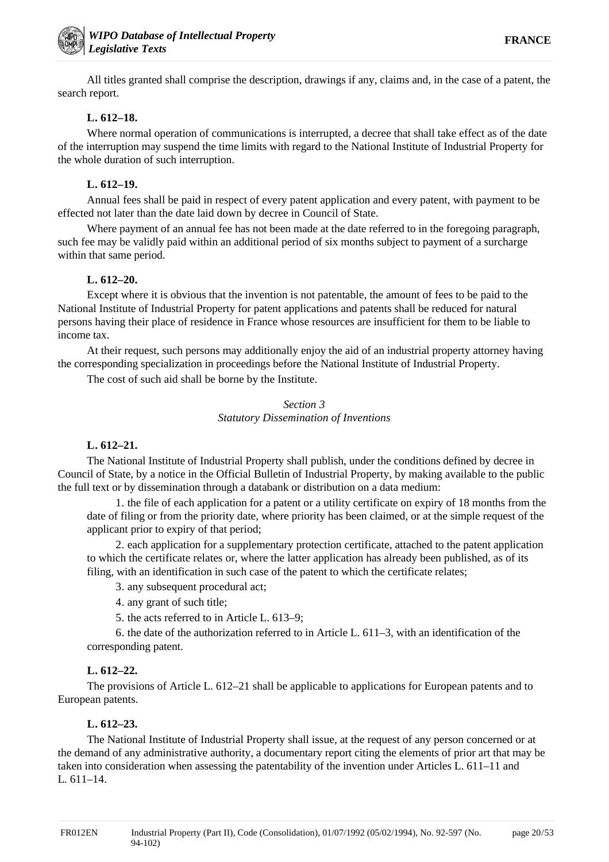All titles granted shall comprise the description, drawings if any, claims and, in the case of a patent, the search report.

# **L. 612–18.**

Where normal operation of communications is interrupted, a decree that shall take effect as of the date of the interruption may suspend the time limits with regard to the National Institute of Industrial Property for the whole duration of such interruption.

### **L. 612–19.**

Annual fees shall be paid in respect of every patent application and every patent, with payment to be effected not later than the date laid down by decree in Council of State.

Where payment of an annual fee has not been made at the date referred to in the foregoing paragraph, such fee may be validly paid within an additional period of six months subject to payment of a surcharge within that same period.

### **L. 612–20.**

Except where it is obvious that the invention is not patentable, the amount of fees to be paid to the National Institute of Industrial Property for patent applications and patents shall be reduced for natural persons having their place of residence in France whose resources are insufficient for them to be liable to income tax.

At their request, such persons may additionally enjoy the aid of an industrial property attorney having the corresponding specialization in proceedings before the National Institute of Industrial Property.

The cost of such aid shall be borne by the Institute.

#### *Section 3 Statutory Dissemination of Inventions*

#### **L. 612–21.**

The National Institute of Industrial Property shall publish, under the conditions defined by decree in Council of State, by a notice in the Official Bulletin of Industrial Property, by making available to the public the full text or by dissemination through a databank or distribution on a data medium:

1. the file of each application for a patent or a utility certificate on expiry of 18 months from the date of filing or from the priority date, where priority has been claimed, or at the simple request of the applicant prior to expiry of that period;

2. each application for a supplementary protection certificate, attached to the patent application to which the certificate relates or, where the latter application has already been published, as of its filing, with an identification in such case of the patent to which the certificate relates;

3. any subsequent procedural act;

4. any grant of such title;

5. the acts referred to in Article L. 613–9;

6. the date of the authorization referred to in Article L. 611–3, with an identification of the corresponding patent.

# **L. 612–22.**

The provisions of Article L. 612–21 shall be applicable to applications for European patents and to European patents.

# **L. 612–23.**

The National Institute of Industrial Property shall issue, at the request of any person concerned or at the demand of any administrative authority, a documentary report citing the elements of prior art that may be taken into consideration when assessing the patentability of the invention under Articles L. 611–11 and L. 611–14.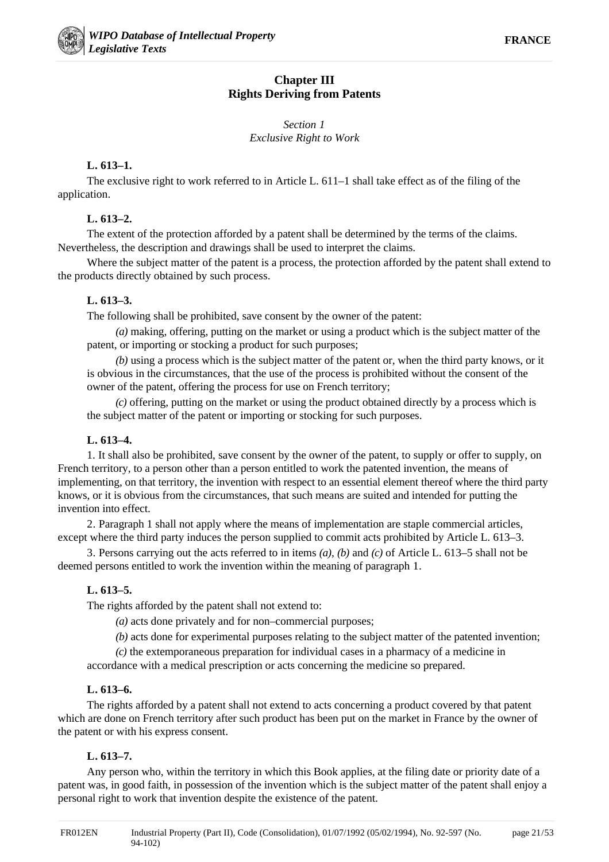# **Chapter III Rights Deriving from Patents**

# *Section 1 Exclusive Right to Work*

# **L. 613–1.**

The exclusive right to work referred to in Article L. 611–1 shall take effect as of the filing of the application.

# **L. 613–2.**

The extent of the protection afforded by a patent shall be determined by the terms of the claims. Nevertheless, the description and drawings shall be used to interpret the claims.

Where the subject matter of the patent is a process, the protection afforded by the patent shall extend to the products directly obtained by such process.

# **L. 613–3.**

The following shall be prohibited, save consent by the owner of the patent:

*(a)* making, offering, putting on the market or using a product which is the subject matter of the patent, or importing or stocking a product for such purposes;

*(b)* using a process which is the subject matter of the patent or, when the third party knows, or it is obvious in the circumstances, that the use of the process is prohibited without the consent of the owner of the patent, offering the process for use on French territory;

*(c)* offering, putting on the market or using the product obtained directly by a process which is the subject matter of the patent or importing or stocking for such purposes.

# **L. 613–4.**

1. It shall also be prohibited, save consent by the owner of the patent, to supply or offer to supply, on French territory, to a person other than a person entitled to work the patented invention, the means of implementing, on that territory, the invention with respect to an essential element thereof where the third party knows, or it is obvious from the circumstances, that such means are suited and intended for putting the invention into effect.

2. Paragraph 1 shall not apply where the means of implementation are staple commercial articles, except where the third party induces the person supplied to commit acts prohibited by Article L. 613–3.

3. Persons carrying out the acts referred to in items *(a)*, *(b)* and *(c)* of Article L. 613–5 shall not be deemed persons entitled to work the invention within the meaning of paragraph 1.

# **L. 613–5.**

The rights afforded by the patent shall not extend to:

*(a)* acts done privately and for non–commercial purposes;

*(b)* acts done for experimental purposes relating to the subject matter of the patented invention;

*(c)* the extemporaneous preparation for individual cases in a pharmacy of a medicine in accordance with a medical prescription or acts concerning the medicine so prepared.

# **L. 613–6.**

The rights afforded by a patent shall not extend to acts concerning a product covered by that patent which are done on French territory after such product has been put on the market in France by the owner of the patent or with his express consent.

# **L. 613–7.**

Any person who, within the territory in which this Book applies, at the filing date or priority date of a patent was, in good faith, in possession of the invention which is the subject matter of the patent shall enjoy a personal right to work that invention despite the existence of the patent.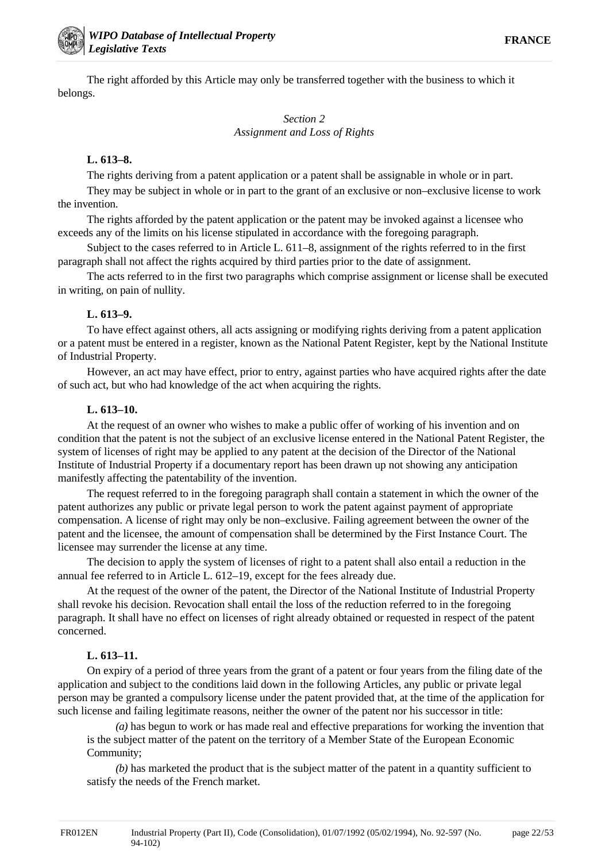The right afforded by this Article may only be transferred together with the business to which it belongs.

# *Section 2 Assignment and Loss of Rights*

### **L. 613–8.**

The rights deriving from a patent application or a patent shall be assignable in whole or in part.

They may be subject in whole or in part to the grant of an exclusive or non–exclusive license to work the invention.

The rights afforded by the patent application or the patent may be invoked against a licensee who exceeds any of the limits on his license stipulated in accordance with the foregoing paragraph.

Subject to the cases referred to in Article L. 611–8, assignment of the rights referred to in the first paragraph shall not affect the rights acquired by third parties prior to the date of assignment.

The acts referred to in the first two paragraphs which comprise assignment or license shall be executed in writing, on pain of nullity.

### **L. 613–9.**

To have effect against others, all acts assigning or modifying rights deriving from a patent application or a patent must be entered in a register, known as the National Patent Register, kept by the National Institute of Industrial Property.

However, an act may have effect, prior to entry, against parties who have acquired rights after the date of such act, but who had knowledge of the act when acquiring the rights.

### **L. 613–10.**

At the request of an owner who wishes to make a public offer of working of his invention and on condition that the patent is not the subject of an exclusive license entered in the National Patent Register, the system of licenses of right may be applied to any patent at the decision of the Director of the National Institute of Industrial Property if a documentary report has been drawn up not showing any anticipation manifestly affecting the patentability of the invention.

The request referred to in the foregoing paragraph shall contain a statement in which the owner of the patent authorizes any public or private legal person to work the patent against payment of appropriate compensation. A license of right may only be non–exclusive. Failing agreement between the owner of the patent and the licensee, the amount of compensation shall be determined by the First Instance Court. The licensee may surrender the license at any time.

The decision to apply the system of licenses of right to a patent shall also entail a reduction in the annual fee referred to in Article L. 612–19, except for the fees already due.

At the request of the owner of the patent, the Director of the National Institute of Industrial Property shall revoke his decision. Revocation shall entail the loss of the reduction referred to in the foregoing paragraph. It shall have no effect on licenses of right already obtained or requested in respect of the patent concerned.

# **L. 613–11.**

On expiry of a period of three years from the grant of a patent or four years from the filing date of the application and subject to the conditions laid down in the following Articles, any public or private legal person may be granted a compulsory license under the patent provided that, at the time of the application for such license and failing legitimate reasons, neither the owner of the patent nor his successor in title:

*(a)* has begun to work or has made real and effective preparations for working the invention that is the subject matter of the patent on the territory of a Member State of the European Economic Community;

*(b)* has marketed the product that is the subject matter of the patent in a quantity sufficient to satisfy the needs of the French market.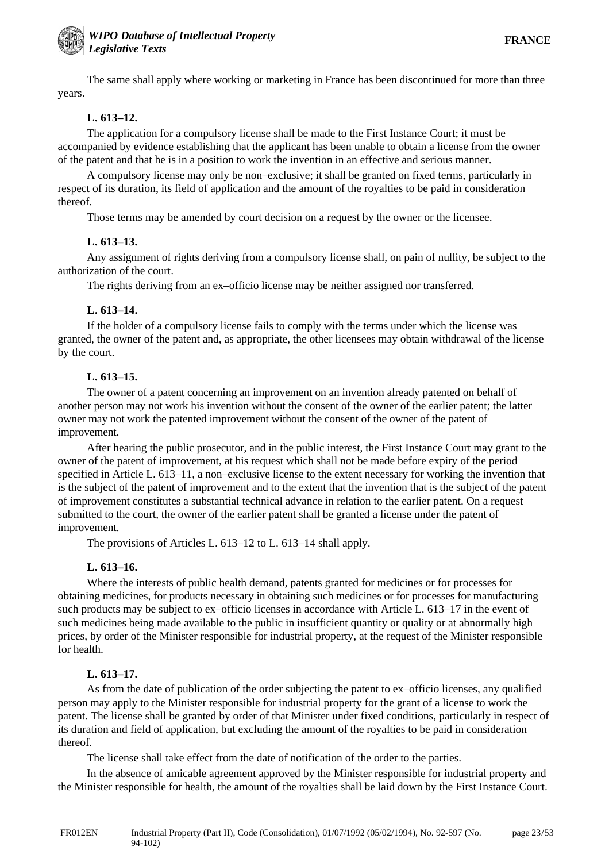The same shall apply where working or marketing in France has been discontinued for more than three years.

# **L. 613–12.**

The application for a compulsory license shall be made to the First Instance Court; it must be accompanied by evidence establishing that the applicant has been unable to obtain a license from the owner of the patent and that he is in a position to work the invention in an effective and serious manner.

A compulsory license may only be non–exclusive; it shall be granted on fixed terms, particularly in respect of its duration, its field of application and the amount of the royalties to be paid in consideration thereof.

Those terms may be amended by court decision on a request by the owner or the licensee.

#### **L. 613–13.**

Any assignment of rights deriving from a compulsory license shall, on pain of nullity, be subject to the authorization of the court.

The rights deriving from an ex–officio license may be neither assigned nor transferred.

#### **L. 613–14.**

If the holder of a compulsory license fails to comply with the terms under which the license was granted, the owner of the patent and, as appropriate, the other licensees may obtain withdrawal of the license by the court.

### **L. 613–15.**

The owner of a patent concerning an improvement on an invention already patented on behalf of another person may not work his invention without the consent of the owner of the earlier patent; the latter owner may not work the patented improvement without the consent of the owner of the patent of improvement.

After hearing the public prosecutor, and in the public interest, the First Instance Court may grant to the owner of the patent of improvement, at his request which shall not be made before expiry of the period specified in Article L. 613–11, a non–exclusive license to the extent necessary for working the invention that is the subject of the patent of improvement and to the extent that the invention that is the subject of the patent of improvement constitutes a substantial technical advance in relation to the earlier patent. On a request submitted to the court, the owner of the earlier patent shall be granted a license under the patent of improvement.

The provisions of Articles L. 613–12 to L. 613–14 shall apply.

#### **L. 613–16.**

Where the interests of public health demand, patents granted for medicines or for processes for obtaining medicines, for products necessary in obtaining such medicines or for processes for manufacturing such products may be subject to ex–officio licenses in accordance with Article L. 613–17 in the event of such medicines being made available to the public in insufficient quantity or quality or at abnormally high prices, by order of the Minister responsible for industrial property, at the request of the Minister responsible for health.

# **L. 613–17.**

As from the date of publication of the order subjecting the patent to ex–officio licenses, any qualified person may apply to the Minister responsible for industrial property for the grant of a license to work the patent. The license shall be granted by order of that Minister under fixed conditions, particularly in respect of its duration and field of application, but excluding the amount of the royalties to be paid in consideration thereof.

The license shall take effect from the date of notification of the order to the parties.

In the absence of amicable agreement approved by the Minister responsible for industrial property and the Minister responsible for health, the amount of the royalties shall be laid down by the First Instance Court.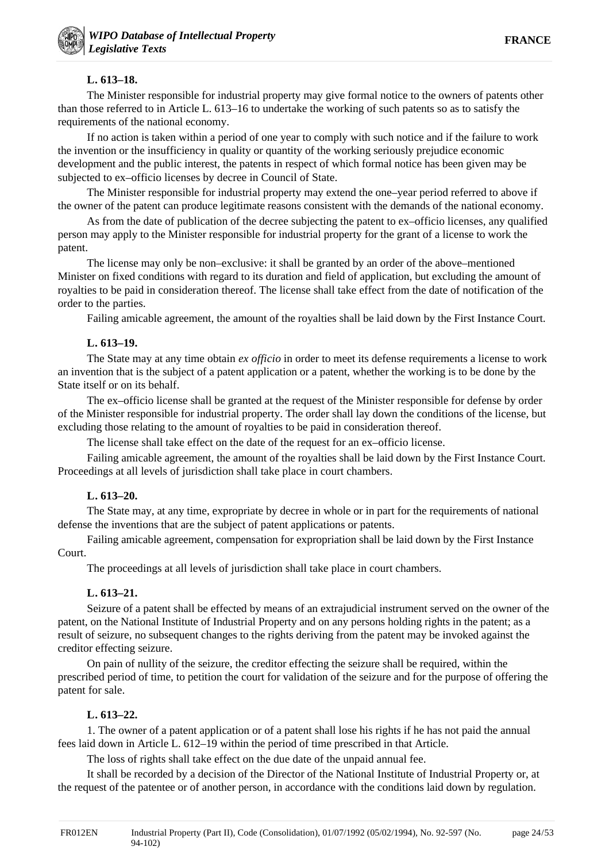# **L. 613–18.**

The Minister responsible for industrial property may give formal notice to the owners of patents other than those referred to in Article L. 613–16 to undertake the working of such patents so as to satisfy the requirements of the national economy.

If no action is taken within a period of one year to comply with such notice and if the failure to work the invention or the insufficiency in quality or quantity of the working seriously prejudice economic development and the public interest, the patents in respect of which formal notice has been given may be subjected to ex–officio licenses by decree in Council of State.

The Minister responsible for industrial property may extend the one–year period referred to above if the owner of the patent can produce legitimate reasons consistent with the demands of the national economy.

As from the date of publication of the decree subjecting the patent to ex–officio licenses, any qualified person may apply to the Minister responsible for industrial property for the grant of a license to work the patent.

The license may only be non–exclusive: it shall be granted by an order of the above–mentioned Minister on fixed conditions with regard to its duration and field of application, but excluding the amount of royalties to be paid in consideration thereof. The license shall take effect from the date of notification of the order to the parties.

Failing amicable agreement, the amount of the royalties shall be laid down by the First Instance Court.

### **L. 613–19.**

The State may at any time obtain *ex officio* in order to meet its defense requirements a license to work an invention that is the subject of a patent application or a patent, whether the working is to be done by the State itself or on its behalf.

The ex–officio license shall be granted at the request of the Minister responsible for defense by order of the Minister responsible for industrial property. The order shall lay down the conditions of the license, but excluding those relating to the amount of royalties to be paid in consideration thereof.

The license shall take effect on the date of the request for an ex–officio license.

Failing amicable agreement, the amount of the royalties shall be laid down by the First Instance Court. Proceedings at all levels of jurisdiction shall take place in court chambers.

# **L. 613–20.**

The State may, at any time, expropriate by decree in whole or in part for the requirements of national defense the inventions that are the subject of patent applications or patents.

Failing amicable agreement, compensation for expropriation shall be laid down by the First Instance Court.

The proceedings at all levels of jurisdiction shall take place in court chambers.

# **L. 613–21.**

Seizure of a patent shall be effected by means of an extrajudicial instrument served on the owner of the patent, on the National Institute of Industrial Property and on any persons holding rights in the patent; as a result of seizure, no subsequent changes to the rights deriving from the patent may be invoked against the creditor effecting seizure.

On pain of nullity of the seizure, the creditor effecting the seizure shall be required, within the prescribed period of time, to petition the court for validation of the seizure and for the purpose of offering the patent for sale.

# **L. 613–22.**

1. The owner of a patent application or of a patent shall lose his rights if he has not paid the annual fees laid down in Article L. 612–19 within the period of time prescribed in that Article.

The loss of rights shall take effect on the due date of the unpaid annual fee.

It shall be recorded by a decision of the Director of the National Institute of Industrial Property or, at the request of the patentee or of another person, in accordance with the conditions laid down by regulation.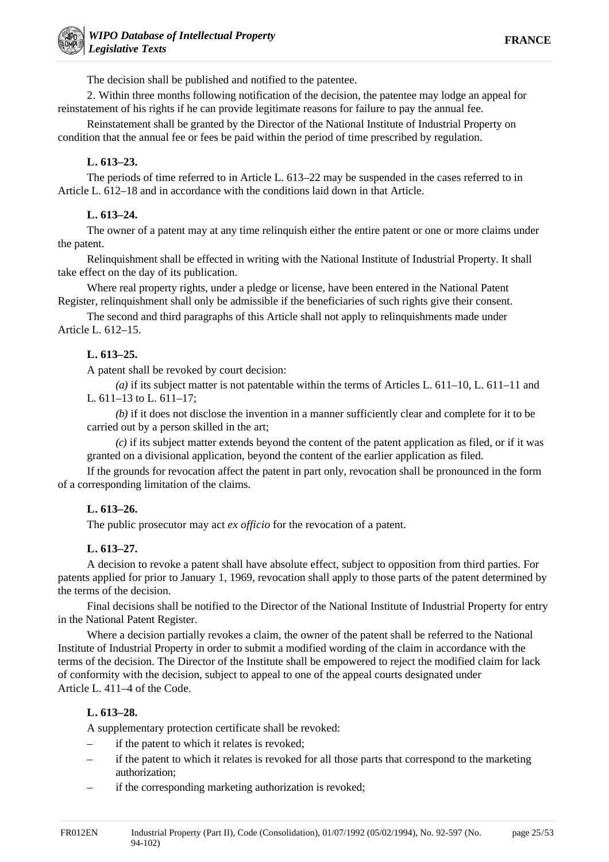The decision shall be published and notified to the patentee.

2. Within three months following notification of the decision, the patentee may lodge an appeal for reinstatement of his rights if he can provide legitimate reasons for failure to pay the annual fee.

Reinstatement shall be granted by the Director of the National Institute of Industrial Property on condition that the annual fee or fees be paid within the period of time prescribed by regulation.

# **L. 613–23.**

The periods of time referred to in Article L. 613–22 may be suspended in the cases referred to in Article L. 612–18 and in accordance with the conditions laid down in that Article.

# **L. 613–24.**

The owner of a patent may at any time relinquish either the entire patent or one or more claims under the patent.

Relinquishment shall be effected in writing with the National Institute of Industrial Property. It shall take effect on the day of its publication.

Where real property rights, under a pledge or license, have been entered in the National Patent Register, relinquishment shall only be admissible if the beneficiaries of such rights give their consent.

The second and third paragraphs of this Article shall not apply to relinquishments made under Article L. 612–15.

# **L. 613–25.**

A patent shall be revoked by court decision:

*(a)* if its subject matter is not patentable within the terms of Articles L. 611–10, L. 611–11 and L. 611–13 to L. 611–17;

*(b)* if it does not disclose the invention in a manner sufficiently clear and complete for it to be carried out by a person skilled in the art;

*(c)* if its subject matter extends beyond the content of the patent application as filed, or if it was granted on a divisional application, beyond the content of the earlier application as filed.

If the grounds for revocation affect the patent in part only, revocation shall be pronounced in the form of a corresponding limitation of the claims.

# **L. 613–26.**

The public prosecutor may act *ex officio* for the revocation of a patent.

# **L. 613–27.**

A decision to revoke a patent shall have absolute effect, subject to opposition from third parties. For patents applied for prior to January 1, 1969, revocation shall apply to those parts of the patent determined by the terms of the decision.

Final decisions shall be notified to the Director of the National Institute of Industrial Property for entry in the National Patent Register.

Where a decision partially revokes a claim, the owner of the patent shall be referred to the National Institute of Industrial Property in order to submit a modified wording of the claim in accordance with the terms of the decision. The Director of the Institute shall be empowered to reject the modified claim for lack of conformity with the decision, subject to appeal to one of the appeal courts designated under Article L. 411–4 of the Code.

# **L. 613–28.**

A supplementary protection certificate shall be revoked:

- if the patent to which it relates is revoked;
- if the patent to which it relates is revoked for all those parts that correspond to the marketing authorization;
- if the corresponding marketing authorization is revoked;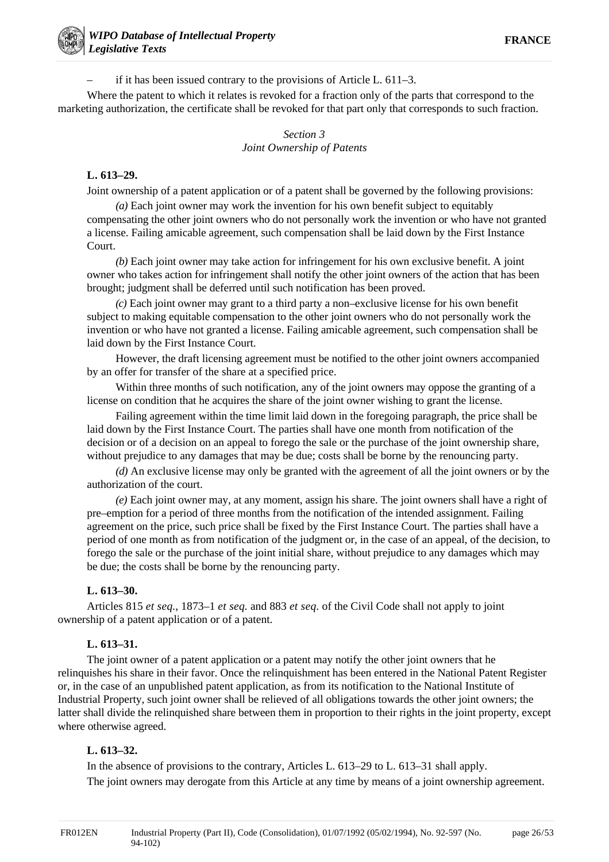– if it has been issued contrary to the provisions of Article L. 611–3.

Where the patent to which it relates is revoked for a fraction only of the parts that correspond to the marketing authorization, the certificate shall be revoked for that part only that corresponds to such fraction.

# *Section 3 Joint Ownership of Patents*

#### **L. 613–29.**

Joint ownership of a patent application or of a patent shall be governed by the following provisions:

*(a)* Each joint owner may work the invention for his own benefit subject to equitably compensating the other joint owners who do not personally work the invention or who have not granted a license. Failing amicable agreement, such compensation shall be laid down by the First Instance Court.

*(b)* Each joint owner may take action for infringement for his own exclusive benefit. A joint owner who takes action for infringement shall notify the other joint owners of the action that has been brought; judgment shall be deferred until such notification has been proved.

*(c)* Each joint owner may grant to a third party a non–exclusive license for his own benefit subject to making equitable compensation to the other joint owners who do not personally work the invention or who have not granted a license. Failing amicable agreement, such compensation shall be laid down by the First Instance Court.

However, the draft licensing agreement must be notified to the other joint owners accompanied by an offer for transfer of the share at a specified price.

Within three months of such notification, any of the joint owners may oppose the granting of a license on condition that he acquires the share of the joint owner wishing to grant the license.

Failing agreement within the time limit laid down in the foregoing paragraph, the price shall be laid down by the First Instance Court. The parties shall have one month from notification of the decision or of a decision on an appeal to forego the sale or the purchase of the joint ownership share, without prejudice to any damages that may be due; costs shall be borne by the renouncing party.

*(d)* An exclusive license may only be granted with the agreement of all the joint owners or by the authorization of the court.

*(e)* Each joint owner may, at any moment, assign his share. The joint owners shall have a right of pre–emption for a period of three months from the notification of the intended assignment. Failing agreement on the price, such price shall be fixed by the First Instance Court. The parties shall have a period of one month as from notification of the judgment or, in the case of an appeal, of the decision, to forego the sale or the purchase of the joint initial share, without prejudice to any damages which may be due; the costs shall be borne by the renouncing party.

#### **L. 613–30.**

Articles 815 *et seq.*, 1873–1 *et seq.* and 883 *et seq.* of the Civil Code shall not apply to joint ownership of a patent application or of a patent.

#### **L. 613–31.**

The joint owner of a patent application or a patent may notify the other joint owners that he relinquishes his share in their favor. Once the relinquishment has been entered in the National Patent Register or, in the case of an unpublished patent application, as from its notification to the National Institute of Industrial Property, such joint owner shall be relieved of all obligations towards the other joint owners; the latter shall divide the relinquished share between them in proportion to their rights in the joint property, except where otherwise agreed.

#### **L. 613–32.**

In the absence of provisions to the contrary, Articles L. 613–29 to L. 613–31 shall apply. The joint owners may derogate from this Article at any time by means of a joint ownership agreement.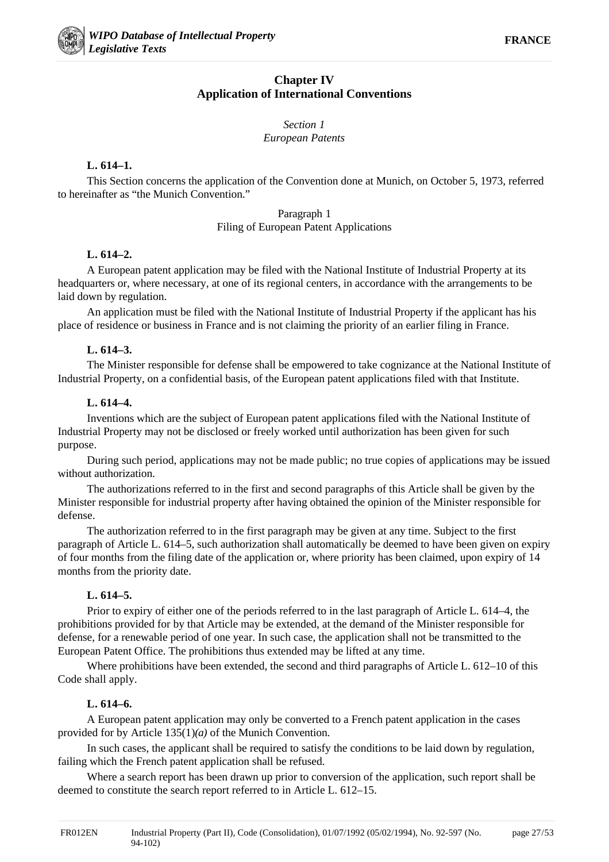# **Chapter IV Application of International Conventions**

# *Section 1 European Patents*

### **L. 614–1.**

This Section concerns the application of the Convention done at Munich, on October 5, 1973, referred to hereinafter as "the Munich Convention."

### Paragraph 1 Filing of European Patent Applications

# **L. 614–2.**

A European patent application may be filed with the National Institute of Industrial Property at its headquarters or, where necessary, at one of its regional centers, in accordance with the arrangements to be laid down by regulation.

An application must be filed with the National Institute of Industrial Property if the applicant has his place of residence or business in France and is not claiming the priority of an earlier filing in France.

### **L. 614–3.**

The Minister responsible for defense shall be empowered to take cognizance at the National Institute of Industrial Property, on a confidential basis, of the European patent applications filed with that Institute.

### **L. 614–4.**

Inventions which are the subject of European patent applications filed with the National Institute of Industrial Property may not be disclosed or freely worked until authorization has been given for such purpose.

During such period, applications may not be made public; no true copies of applications may be issued without authorization.

The authorizations referred to in the first and second paragraphs of this Article shall be given by the Minister responsible for industrial property after having obtained the opinion of the Minister responsible for defense.

The authorization referred to in the first paragraph may be given at any time. Subject to the first paragraph of Article L. 614–5, such authorization shall automatically be deemed to have been given on expiry of four months from the filing date of the application or, where priority has been claimed, upon expiry of 14 months from the priority date.

# **L. 614–5.**

Prior to expiry of either one of the periods referred to in the last paragraph of Article L. 614–4, the prohibitions provided for by that Article may be extended, at the demand of the Minister responsible for defense, for a renewable period of one year. In such case, the application shall not be transmitted to the European Patent Office. The prohibitions thus extended may be lifted at any time.

Where prohibitions have been extended, the second and third paragraphs of Article L. 612–10 of this Code shall apply.

# **L. 614–6.**

A European patent application may only be converted to a French patent application in the cases provided for by Article 135(1)*(a)* of the Munich Convention.

In such cases, the applicant shall be required to satisfy the conditions to be laid down by regulation, failing which the French patent application shall be refused.

Where a search report has been drawn up prior to conversion of the application, such report shall be deemed to constitute the search report referred to in Article L. 612–15.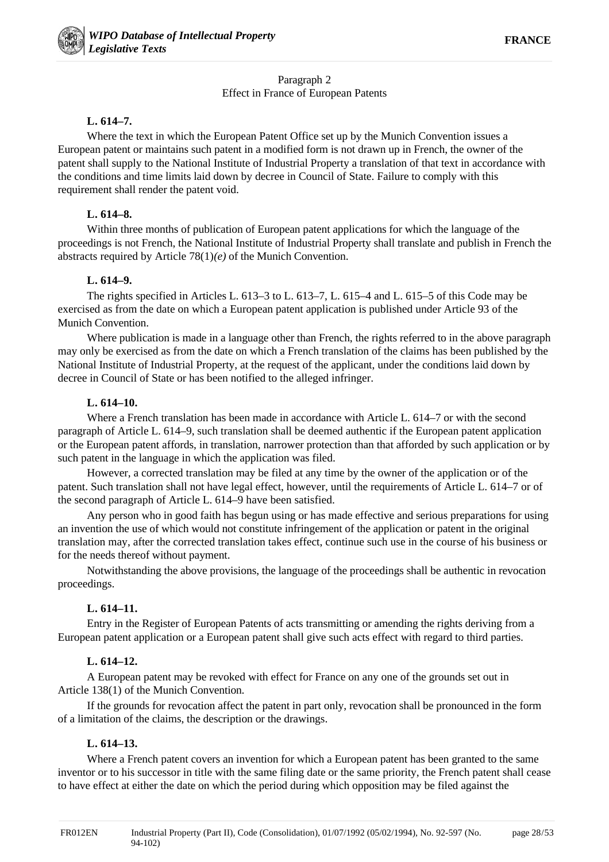# Paragraph 2 Effect in France of European Patents

### **L. 614–7.**

Where the text in which the European Patent Office set up by the Munich Convention issues a European patent or maintains such patent in a modified form is not drawn up in French, the owner of the patent shall supply to the National Institute of Industrial Property a translation of that text in accordance with the conditions and time limits laid down by decree in Council of State. Failure to comply with this requirement shall render the patent void.

# **L. 614–8.**

Within three months of publication of European patent applications for which the language of the proceedings is not French, the National Institute of Industrial Property shall translate and publish in French the abstracts required by Article 78(1)*(e)* of the Munich Convention.

# **L. 614–9.**

The rights specified in Articles L. 613–3 to L. 613–7, L. 615–4 and L. 615–5 of this Code may be exercised as from the date on which a European patent application is published under Article 93 of the Munich Convention.

Where publication is made in a language other than French, the rights referred to in the above paragraph may only be exercised as from the date on which a French translation of the claims has been published by the National Institute of Industrial Property, at the request of the applicant, under the conditions laid down by decree in Council of State or has been notified to the alleged infringer.

# **L. 614–10.**

Where a French translation has been made in accordance with Article L. 614–7 or with the second paragraph of Article L. 614–9, such translation shall be deemed authentic if the European patent application or the European patent affords, in translation, narrower protection than that afforded by such application or by such patent in the language in which the application was filed.

However, a corrected translation may be filed at any time by the owner of the application or of the patent. Such translation shall not have legal effect, however, until the requirements of Article L. 614–7 or of the second paragraph of Article L. 614–9 have been satisfied.

Any person who in good faith has begun using or has made effective and serious preparations for using an invention the use of which would not constitute infringement of the application or patent in the original translation may, after the corrected translation takes effect, continue such use in the course of his business or for the needs thereof without payment.

Notwithstanding the above provisions, the language of the proceedings shall be authentic in revocation proceedings.

# **L. 614–11.**

Entry in the Register of European Patents of acts transmitting or amending the rights deriving from a European patent application or a European patent shall give such acts effect with regard to third parties.

# **L. 614–12.**

A European patent may be revoked with effect for France on any one of the grounds set out in Article 138(1) of the Munich Convention.

If the grounds for revocation affect the patent in part only, revocation shall be pronounced in the form of a limitation of the claims, the description or the drawings.

# **L. 614–13.**

Where a French patent covers an invention for which a European patent has been granted to the same inventor or to his successor in title with the same filing date or the same priority, the French patent shall cease to have effect at either the date on which the period during which opposition may be filed against the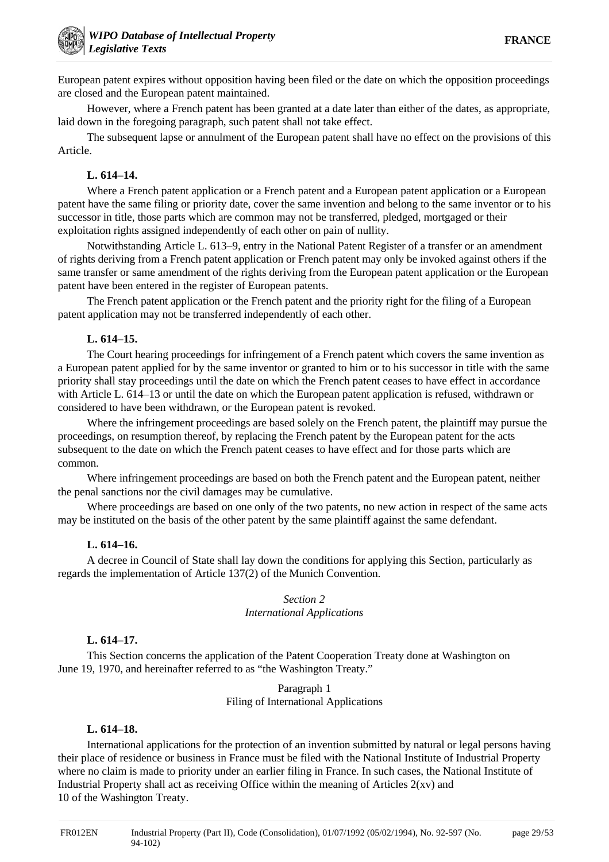European patent expires without opposition having been filed or the date on which the opposition proceedings are closed and the European patent maintained.

However, where a French patent has been granted at a date later than either of the dates, as appropriate, laid down in the foregoing paragraph, such patent shall not take effect.

The subsequent lapse or annulment of the European patent shall have no effect on the provisions of this Article.

#### **L. 614–14.**

Where a French patent application or a French patent and a European patent application or a European patent have the same filing or priority date, cover the same invention and belong to the same inventor or to his successor in title, those parts which are common may not be transferred, pledged, mortgaged or their exploitation rights assigned independently of each other on pain of nullity.

Notwithstanding Article L. 613–9, entry in the National Patent Register of a transfer or an amendment of rights deriving from a French patent application or French patent may only be invoked against others if the same transfer or same amendment of the rights deriving from the European patent application or the European patent have been entered in the register of European patents.

The French patent application or the French patent and the priority right for the filing of a European patent application may not be transferred independently of each other.

#### **L. 614–15.**

The Court hearing proceedings for infringement of a French patent which covers the same invention as a European patent applied for by the same inventor or granted to him or to his successor in title with the same priority shall stay proceedings until the date on which the French patent ceases to have effect in accordance with Article L. 614–13 or until the date on which the European patent application is refused, withdrawn or considered to have been withdrawn, or the European patent is revoked.

Where the infringement proceedings are based solely on the French patent, the plaintiff may pursue the proceedings, on resumption thereof, by replacing the French patent by the European patent for the acts subsequent to the date on which the French patent ceases to have effect and for those parts which are common.

Where infringement proceedings are based on both the French patent and the European patent, neither the penal sanctions nor the civil damages may be cumulative.

Where proceedings are based on one only of the two patents, no new action in respect of the same acts may be instituted on the basis of the other patent by the same plaintiff against the same defendant.

#### **L. 614–16.**

A decree in Council of State shall lay down the conditions for applying this Section, particularly as regards the implementation of Article 137(2) of the Munich Convention.

#### *Section 2 International Applications*

#### **L. 614–17.**

This Section concerns the application of the Patent Cooperation Treaty done at Washington on June 19, 1970, and hereinafter referred to as "the Washington Treaty."

#### Paragraph 1 Filing of International Applications

#### **L. 614–18.**

International applications for the protection of an invention submitted by natural or legal persons having their place of residence or business in France must be filed with the National Institute of Industrial Property where no claim is made to priority under an earlier filing in France. In such cases, the National Institute of Industrial Property shall act as receiving Office within the meaning of Articles  $2(xv)$  and 10 of the Washington Treaty.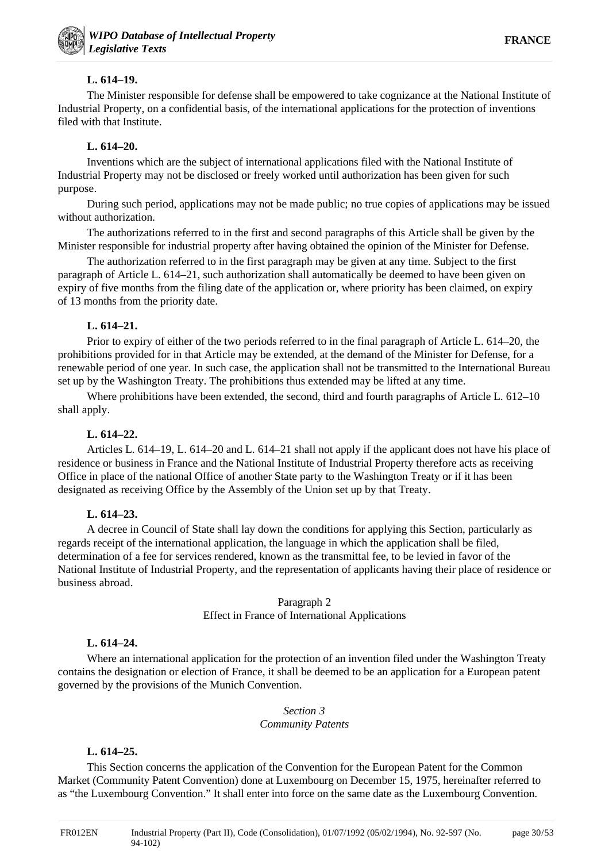# **L. 614–19.**

The Minister responsible for defense shall be empowered to take cognizance at the National Institute of Industrial Property, on a confidential basis, of the international applications for the protection of inventions filed with that Institute.

### **L. 614–20.**

Inventions which are the subject of international applications filed with the National Institute of Industrial Property may not be disclosed or freely worked until authorization has been given for such purpose.

During such period, applications may not be made public; no true copies of applications may be issued without authorization.

The authorizations referred to in the first and second paragraphs of this Article shall be given by the Minister responsible for industrial property after having obtained the opinion of the Minister for Defense.

The authorization referred to in the first paragraph may be given at any time. Subject to the first paragraph of Article L. 614–21, such authorization shall automatically be deemed to have been given on expiry of five months from the filing date of the application or, where priority has been claimed, on expiry of 13 months from the priority date.

### **L. 614–21.**

Prior to expiry of either of the two periods referred to in the final paragraph of Article L. 614–20, the prohibitions provided for in that Article may be extended, at the demand of the Minister for Defense, for a renewable period of one year. In such case, the application shall not be transmitted to the International Bureau set up by the Washington Treaty. The prohibitions thus extended may be lifted at any time.

Where prohibitions have been extended, the second, third and fourth paragraphs of Article L. 612–10 shall apply.

#### **L. 614–22.**

Articles L. 614–19, L. 614–20 and L. 614–21 shall not apply if the applicant does not have his place of residence or business in France and the National Institute of Industrial Property therefore acts as receiving Office in place of the national Office of another State party to the Washington Treaty or if it has been designated as receiving Office by the Assembly of the Union set up by that Treaty.

#### **L. 614–23.**

A decree in Council of State shall lay down the conditions for applying this Section, particularly as regards receipt of the international application, the language in which the application shall be filed, determination of a fee for services rendered, known as the transmittal fee, to be levied in favor of the National Institute of Industrial Property, and the representation of applicants having their place of residence or business abroad.

#### Paragraph 2 Effect in France of International Applications

#### **L. 614–24.**

Where an international application for the protection of an invention filed under the Washington Treaty contains the designation or election of France, it shall be deemed to be an application for a European patent governed by the provisions of the Munich Convention.

# *Section 3*

# *Community Patents*

#### **L. 614–25.**

This Section concerns the application of the Convention for the European Patent for the Common Market (Community Patent Convention) done at Luxembourg on December 15, 1975, hereinafter referred to as "the Luxembourg Convention." It shall enter into force on the same date as the Luxembourg Convention.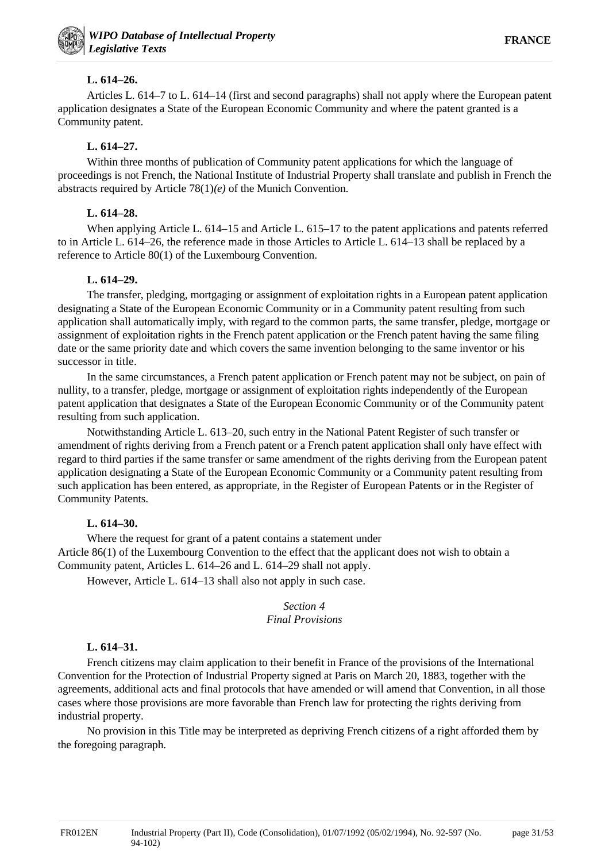# **L. 614–26.**

Articles L. 614–7 to L. 614–14 (first and second paragraphs) shall not apply where the European patent application designates a State of the European Economic Community and where the patent granted is a Community patent.

# **L. 614–27.**

Within three months of publication of Community patent applications for which the language of proceedings is not French, the National Institute of Industrial Property shall translate and publish in French the abstracts required by Article 78(1)*(e)* of the Munich Convention.

# **L. 614–28.**

When applying Article L. 614–15 and Article L. 615–17 to the patent applications and patents referred to in Article L. 614–26, the reference made in those Articles to Article L. 614–13 shall be replaced by a reference to Article 80(1) of the Luxembourg Convention.

# **L. 614–29.**

The transfer, pledging, mortgaging or assignment of exploitation rights in a European patent application designating a State of the European Economic Community or in a Community patent resulting from such application shall automatically imply, with regard to the common parts, the same transfer, pledge, mortgage or assignment of exploitation rights in the French patent application or the French patent having the same filing date or the same priority date and which covers the same invention belonging to the same inventor or his successor in title.

In the same circumstances, a French patent application or French patent may not be subject, on pain of nullity, to a transfer, pledge, mortgage or assignment of exploitation rights independently of the European patent application that designates a State of the European Economic Community or of the Community patent resulting from such application.

Notwithstanding Article L. 613–20, such entry in the National Patent Register of such transfer or amendment of rights deriving from a French patent or a French patent application shall only have effect with regard to third parties if the same transfer or same amendment of the rights deriving from the European patent application designating a State of the European Economic Community or a Community patent resulting from such application has been entered, as appropriate, in the Register of European Patents or in the Register of Community Patents.

# **L. 614–30.**

Where the request for grant of a patent contains a statement under Article 86(1) of the Luxembourg Convention to the effect that the applicant does not wish to obtain a Community patent, Articles L. 614–26 and L. 614–29 shall not apply.

However, Article L. 614–13 shall also not apply in such case.

### *Section 4 Final Provisions*

# **L. 614–31.**

French citizens may claim application to their benefit in France of the provisions of the International Convention for the Protection of Industrial Property signed at Paris on March 20, 1883, together with the agreements, additional acts and final protocols that have amended or will amend that Convention, in all those cases where those provisions are more favorable than French law for protecting the rights deriving from industrial property.

No provision in this Title may be interpreted as depriving French citizens of a right afforded them by the foregoing paragraph.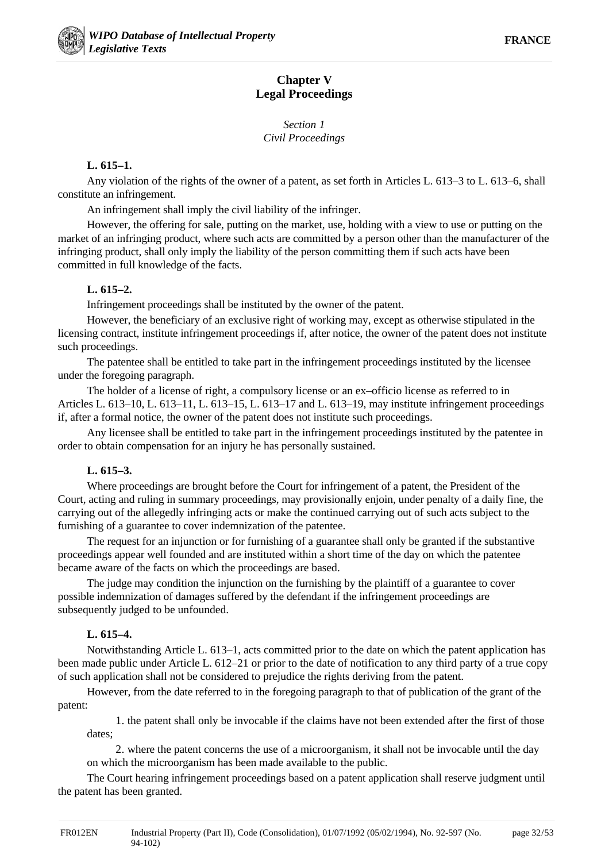# **Chapter V Legal Proceedings**

*Section 1 Civil Proceedings*

### **L. 615–1.**

Any violation of the rights of the owner of a patent, as set forth in Articles L. 613–3 to L. 613–6, shall constitute an infringement.

An infringement shall imply the civil liability of the infringer.

However, the offering for sale, putting on the market, use, holding with a view to use or putting on the market of an infringing product, where such acts are committed by a person other than the manufacturer of the infringing product, shall only imply the liability of the person committing them if such acts have been committed in full knowledge of the facts.

# **L. 615–2.**

Infringement proceedings shall be instituted by the owner of the patent.

However, the beneficiary of an exclusive right of working may, except as otherwise stipulated in the licensing contract, institute infringement proceedings if, after notice, the owner of the patent does not institute such proceedings.

The patentee shall be entitled to take part in the infringement proceedings instituted by the licensee under the foregoing paragraph.

The holder of a license of right, a compulsory license or an ex–officio license as referred to in Articles L. 613–10, L. 613–11, L. 613–15, L. 613–17 and L. 613–19, may institute infringement proceedings if, after a formal notice, the owner of the patent does not institute such proceedings.

Any licensee shall be entitled to take part in the infringement proceedings instituted by the patentee in order to obtain compensation for an injury he has personally sustained.

# **L. 615–3.**

Where proceedings are brought before the Court for infringement of a patent, the President of the Court, acting and ruling in summary proceedings, may provisionally enjoin, under penalty of a daily fine, the carrying out of the allegedly infringing acts or make the continued carrying out of such acts subject to the furnishing of a guarantee to cover indemnization of the patentee.

The request for an injunction or for furnishing of a guarantee shall only be granted if the substantive proceedings appear well founded and are instituted within a short time of the day on which the patentee became aware of the facts on which the proceedings are based.

The judge may condition the injunction on the furnishing by the plaintiff of a guarantee to cover possible indemnization of damages suffered by the defendant if the infringement proceedings are subsequently judged to be unfounded.

# **L. 615–4.**

Notwithstanding Article L. 613–1, acts committed prior to the date on which the patent application has been made public under Article L. 612–21 or prior to the date of notification to any third party of a true copy of such application shall not be considered to prejudice the rights deriving from the patent.

However, from the date referred to in the foregoing paragraph to that of publication of the grant of the patent:

1. the patent shall only be invocable if the claims have not been extended after the first of those dates;

2. where the patent concerns the use of a microorganism, it shall not be invocable until the day on which the microorganism has been made available to the public.

The Court hearing infringement proceedings based on a patent application shall reserve judgment until the patent has been granted.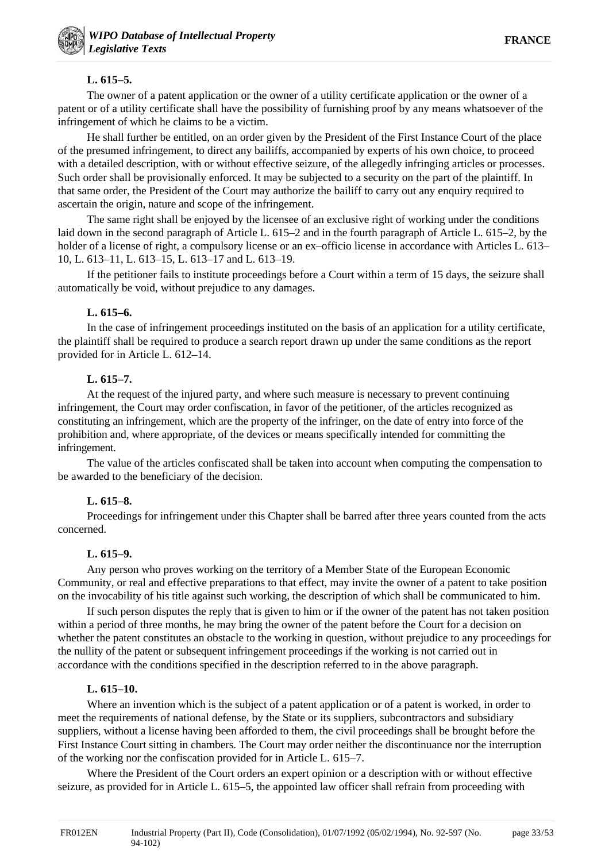# **L. 615–5.**

The owner of a patent application or the owner of a utility certificate application or the owner of a patent or of a utility certificate shall have the possibility of furnishing proof by any means whatsoever of the infringement of which he claims to be a victim.

He shall further be entitled, on an order given by the President of the First Instance Court of the place of the presumed infringement, to direct any bailiffs, accompanied by experts of his own choice, to proceed with a detailed description, with or without effective seizure, of the allegedly infringing articles or processes. Such order shall be provisionally enforced. It may be subjected to a security on the part of the plaintiff. In that same order, the President of the Court may authorize the bailiff to carry out any enquiry required to ascertain the origin, nature and scope of the infringement.

The same right shall be enjoyed by the licensee of an exclusive right of working under the conditions laid down in the second paragraph of Article L. 615–2 and in the fourth paragraph of Article L. 615–2, by the holder of a license of right, a compulsory license or an ex–officio license in accordance with Articles L. 613– 10, L. 613–11, L. 613–15, L. 613–17 and L. 613–19.

If the petitioner fails to institute proceedings before a Court within a term of 15 days, the seizure shall automatically be void, without prejudice to any damages.

# **L. 615–6.**

In the case of infringement proceedings instituted on the basis of an application for a utility certificate, the plaintiff shall be required to produce a search report drawn up under the same conditions as the report provided for in Article L. 612–14.

# **L. 615–7.**

At the request of the injured party, and where such measure is necessary to prevent continuing infringement, the Court may order confiscation, in favor of the petitioner, of the articles recognized as constituting an infringement, which are the property of the infringer, on the date of entry into force of the prohibition and, where appropriate, of the devices or means specifically intended for committing the infringement.

The value of the articles confiscated shall be taken into account when computing the compensation to be awarded to the beneficiary of the decision.

# **L. 615–8.**

Proceedings for infringement under this Chapter shall be barred after three years counted from the acts concerned.

# **L. 615–9.**

Any person who proves working on the territory of a Member State of the European Economic Community, or real and effective preparations to that effect, may invite the owner of a patent to take position on the invocability of his title against such working, the description of which shall be communicated to him.

If such person disputes the reply that is given to him or if the owner of the patent has not taken position within a period of three months, he may bring the owner of the patent before the Court for a decision on whether the patent constitutes an obstacle to the working in question, without prejudice to any proceedings for the nullity of the patent or subsequent infringement proceedings if the working is not carried out in accordance with the conditions specified in the description referred to in the above paragraph.

# **L. 615–10.**

Where an invention which is the subject of a patent application or of a patent is worked, in order to meet the requirements of national defense, by the State or its suppliers, subcontractors and subsidiary suppliers, without a license having been afforded to them, the civil proceedings shall be brought before the First Instance Court sitting in chambers. The Court may order neither the discontinuance nor the interruption of the working nor the confiscation provided for in Article L. 615–7.

Where the President of the Court orders an expert opinion or a description with or without effective seizure, as provided for in Article L. 615–5, the appointed law officer shall refrain from proceeding with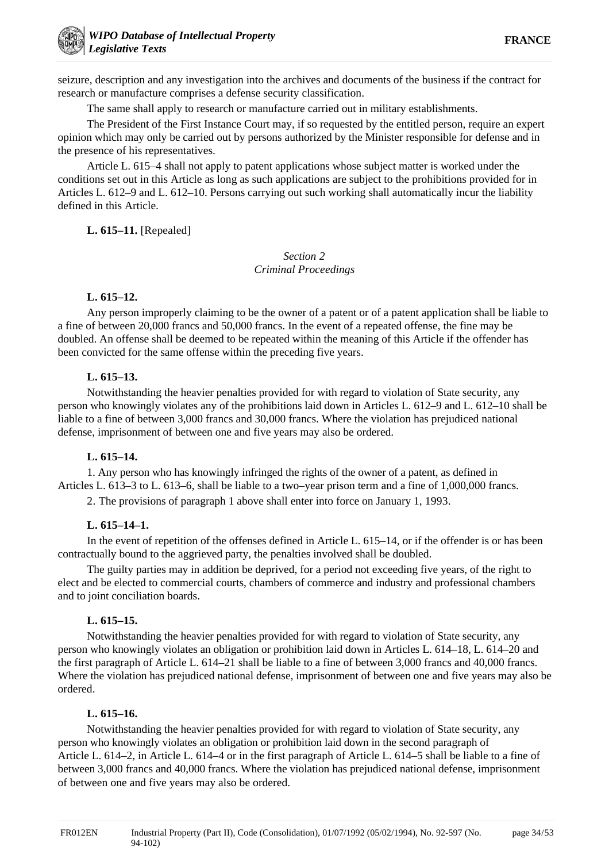seizure, description and any investigation into the archives and documents of the business if the contract for research or manufacture comprises a defense security classification.

The same shall apply to research or manufacture carried out in military establishments.

The President of the First Instance Court may, if so requested by the entitled person, require an expert opinion which may only be carried out by persons authorized by the Minister responsible for defense and in the presence of his representatives.

Article L. 615–4 shall not apply to patent applications whose subject matter is worked under the conditions set out in this Article as long as such applications are subject to the prohibitions provided for in Articles L. 612–9 and L. 612–10. Persons carrying out such working shall automatically incur the liability defined in this Article.

### **L. 615–11.** [Repealed]

# *Section 2 Criminal Proceedings*

#### **L. 615–12.**

Any person improperly claiming to be the owner of a patent or of a patent application shall be liable to a fine of between 20,000 francs and 50,000 francs. In the event of a repeated offense, the fine may be doubled. An offense shall be deemed to be repeated within the meaning of this Article if the offender has been convicted for the same offense within the preceding five years.

### **L. 615–13.**

Notwithstanding the heavier penalties provided for with regard to violation of State security, any person who knowingly violates any of the prohibitions laid down in Articles L. 612–9 and L. 612–10 shall be liable to a fine of between 3,000 francs and 30,000 francs. Where the violation has prejudiced national defense, imprisonment of between one and five years may also be ordered.

#### **L. 615–14.**

1. Any person who has knowingly infringed the rights of the owner of a patent, as defined in Articles L. 613–3 to L. 613–6, shall be liable to a two–year prison term and a fine of 1,000,000 francs.

2. The provisions of paragraph 1 above shall enter into force on January 1, 1993.

#### **L. 615–14–1.**

In the event of repetition of the offenses defined in Article L. 615–14, or if the offender is or has been contractually bound to the aggrieved party, the penalties involved shall be doubled.

The guilty parties may in addition be deprived, for a period not exceeding five years, of the right to elect and be elected to commercial courts, chambers of commerce and industry and professional chambers and to joint conciliation boards.

# **L. 615–15.**

Notwithstanding the heavier penalties provided for with regard to violation of State security, any person who knowingly violates an obligation or prohibition laid down in Articles L. 614–18, L. 614–20 and the first paragraph of Article L. 614–21 shall be liable to a fine of between 3,000 francs and 40,000 francs. Where the violation has prejudiced national defense, imprisonment of between one and five years may also be ordered.

#### **L. 615–16.**

Notwithstanding the heavier penalties provided for with regard to violation of State security, any person who knowingly violates an obligation or prohibition laid down in the second paragraph of Article L. 614–2, in Article L. 614–4 or in the first paragraph of Article L. 614–5 shall be liable to a fine of between 3,000 francs and 40,000 francs. Where the violation has prejudiced national defense, imprisonment of between one and five years may also be ordered.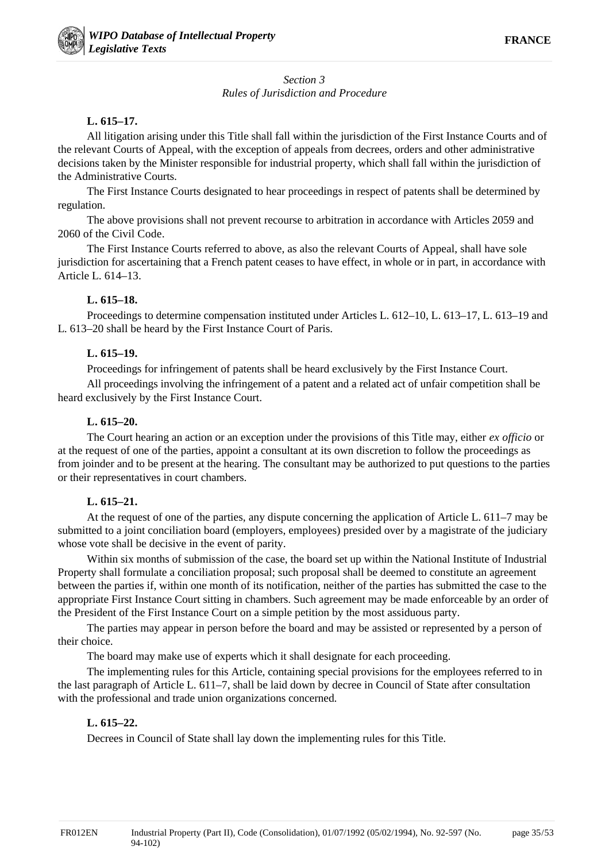# *Section 3 Rules of Jurisdiction and Procedure*

### **L. 615–17.**

All litigation arising under this Title shall fall within the jurisdiction of the First Instance Courts and of the relevant Courts of Appeal, with the exception of appeals from decrees, orders and other administrative decisions taken by the Minister responsible for industrial property, which shall fall within the jurisdiction of the Administrative Courts.

The First Instance Courts designated to hear proceedings in respect of patents shall be determined by regulation.

The above provisions shall not prevent recourse to arbitration in accordance with Articles 2059 and 2060 of the Civil Code.

The First Instance Courts referred to above, as also the relevant Courts of Appeal, shall have sole jurisdiction for ascertaining that a French patent ceases to have effect, in whole or in part, in accordance with Article L. 614–13.

### **L. 615–18.**

Proceedings to determine compensation instituted under Articles L. 612–10, L. 613–17, L. 613–19 and L. 613–20 shall be heard by the First Instance Court of Paris.

### **L. 615–19.**

Proceedings for infringement of patents shall be heard exclusively by the First Instance Court.

All proceedings involving the infringement of a patent and a related act of unfair competition shall be heard exclusively by the First Instance Court.

### **L. 615–20.**

The Court hearing an action or an exception under the provisions of this Title may, either *ex officio* or at the request of one of the parties, appoint a consultant at its own discretion to follow the proceedings as from joinder and to be present at the hearing. The consultant may be authorized to put questions to the parties or their representatives in court chambers.

# **L. 615–21.**

At the request of one of the parties, any dispute concerning the application of Article L. 611–7 may be submitted to a joint conciliation board (employers, employees) presided over by a magistrate of the judiciary whose vote shall be decisive in the event of parity.

Within six months of submission of the case, the board set up within the National Institute of Industrial Property shall formulate a conciliation proposal; such proposal shall be deemed to constitute an agreement between the parties if, within one month of its notification, neither of the parties has submitted the case to the appropriate First Instance Court sitting in chambers. Such agreement may be made enforceable by an order of the President of the First Instance Court on a simple petition by the most assiduous party.

The parties may appear in person before the board and may be assisted or represented by a person of their choice.

The board may make use of experts which it shall designate for each proceeding.

The implementing rules for this Article, containing special provisions for the employees referred to in the last paragraph of Article L. 611–7, shall be laid down by decree in Council of State after consultation with the professional and trade union organizations concerned.

#### **L. 615–22.**

Decrees in Council of State shall lay down the implementing rules for this Title.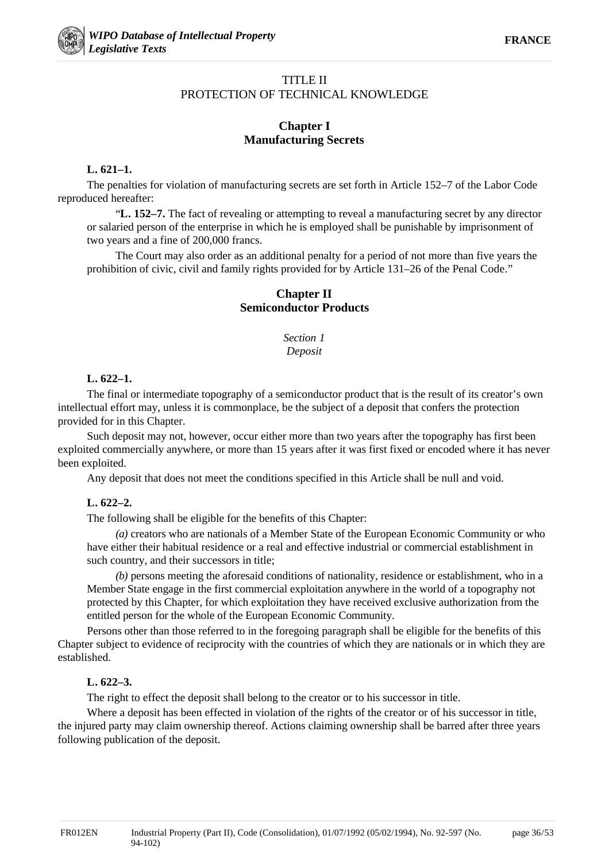# TITLE II PROTECTION OF TECHNICAL KNOWLEDGE

# **Chapter I Manufacturing Secrets**

### **L. 621–1.**

The penalties for violation of manufacturing secrets are set forth in Article 152–7 of the Labor Code reproduced hereafter:

"**L. 152–7.** The fact of revealing or attempting to reveal a manufacturing secret by any director or salaried person of the enterprise in which he is employed shall be punishable by imprisonment of two years and a fine of 200,000 francs.

The Court may also order as an additional penalty for a period of not more than five years the prohibition of civic, civil and family rights provided for by Article 131–26 of the Penal Code."

# **Chapter II Semiconductor Products**

*Section 1 Deposit*

# **L. 622–1.**

The final or intermediate topography of a semiconductor product that is the result of its creator's own intellectual effort may, unless it is commonplace, be the subject of a deposit that confers the protection provided for in this Chapter.

Such deposit may not, however, occur either more than two years after the topography has first been exploited commercially anywhere, or more than 15 years after it was first fixed or encoded where it has never been exploited.

Any deposit that does not meet the conditions specified in this Article shall be null and void.

# **L. 622–2.**

The following shall be eligible for the benefits of this Chapter:

*(a)* creators who are nationals of a Member State of the European Economic Community or who have either their habitual residence or a real and effective industrial or commercial establishment in such country, and their successors in title;

*(b)* persons meeting the aforesaid conditions of nationality, residence or establishment, who in a Member State engage in the first commercial exploitation anywhere in the world of a topography not protected by this Chapter, for which exploitation they have received exclusive authorization from the entitled person for the whole of the European Economic Community.

Persons other than those referred to in the foregoing paragraph shall be eligible for the benefits of this Chapter subject to evidence of reciprocity with the countries of which they are nationals or in which they are established.

# **L. 622–3.**

The right to effect the deposit shall belong to the creator or to his successor in title.

Where a deposit has been effected in violation of the rights of the creator or of his successor in title. the injured party may claim ownership thereof. Actions claiming ownership shall be barred after three years following publication of the deposit.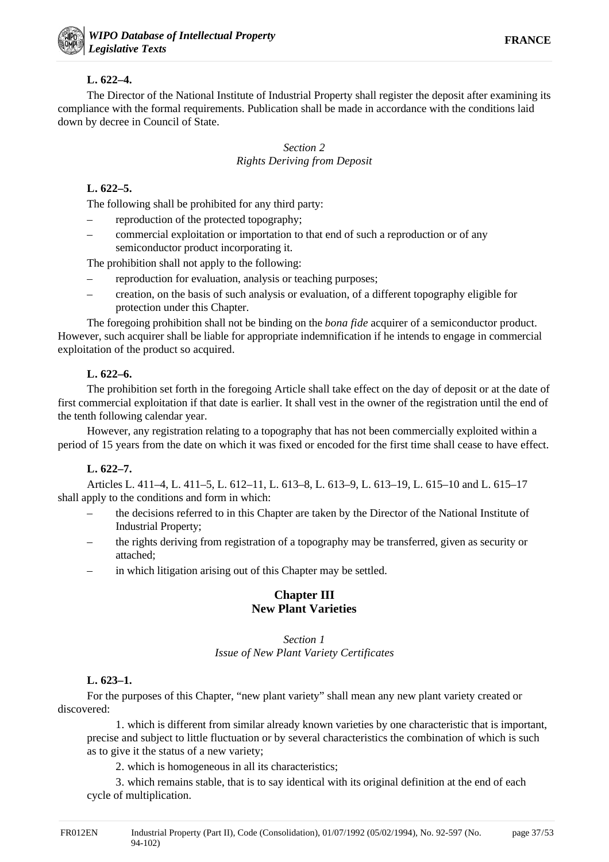# **L. 622–4.**

The Director of the National Institute of Industrial Property shall register the deposit after examining its compliance with the formal requirements. Publication shall be made in accordance with the conditions laid down by decree in Council of State.

# *Section 2 Rights Deriving from Deposit*

# **L. 622–5.**

The following shall be prohibited for any third party:

- reproduction of the protected topography;
- commercial exploitation or importation to that end of such a reproduction or of any semiconductor product incorporating it.

The prohibition shall not apply to the following:

- reproduction for evaluation, analysis or teaching purposes;
- creation, on the basis of such analysis or evaluation, of a different topography eligible for protection under this Chapter.

The foregoing prohibition shall not be binding on the *bona fide* acquirer of a semiconductor product. However, such acquirer shall be liable for appropriate indemnification if he intends to engage in commercial exploitation of the product so acquired.

# **L. 622–6.**

The prohibition set forth in the foregoing Article shall take effect on the day of deposit or at the date of first commercial exploitation if that date is earlier. It shall vest in the owner of the registration until the end of the tenth following calendar year.

However, any registration relating to a topography that has not been commercially exploited within a period of 15 years from the date on which it was fixed or encoded for the first time shall cease to have effect.

# **L. 622–7.**

Articles L. 411–4, L. 411–5, L. 612–11, L. 613–8, L. 613–9, L. 613–19, L. 615–10 and L. 615–17 shall apply to the conditions and form in which:

- the decisions referred to in this Chapter are taken by the Director of the National Institute of Industrial Property;
- the rights deriving from registration of a topography may be transferred, given as security or attached;
- in which litigation arising out of this Chapter may be settled.

# **Chapter III New Plant Varieties**

# *Section 1*

*Issue of New Plant Variety Certificates*

# **L. 623–1.**

For the purposes of this Chapter, "new plant variety" shall mean any new plant variety created or discovered:

1. which is different from similar already known varieties by one characteristic that is important, precise and subject to little fluctuation or by several characteristics the combination of which is such as to give it the status of a new variety;

2. which is homogeneous in all its characteristics;

3. which remains stable, that is to say identical with its original definition at the end of each cycle of multiplication.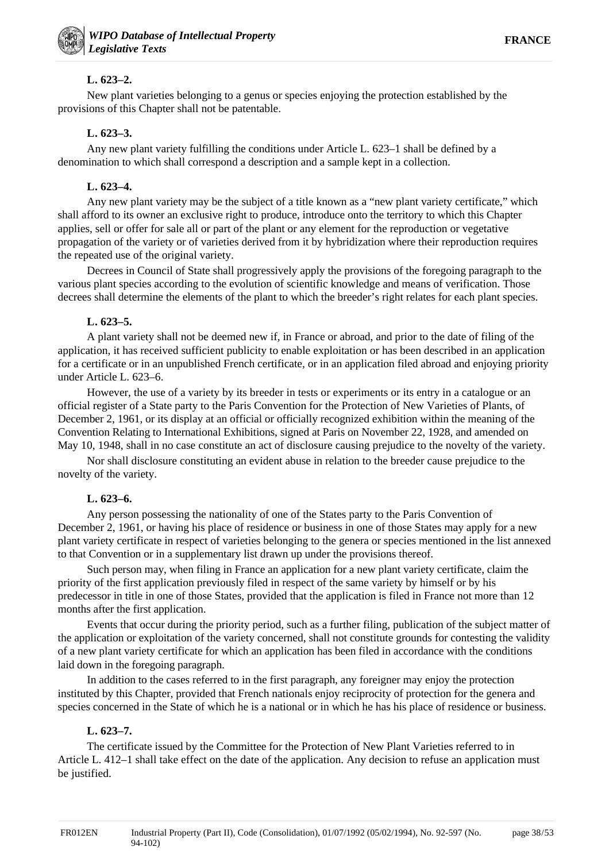# **L. 623–2.**

New plant varieties belonging to a genus or species enjoying the protection established by the provisions of this Chapter shall not be patentable.

# **L. 623–3.**

Any new plant variety fulfilling the conditions under Article L. 623–1 shall be defined by a denomination to which shall correspond a description and a sample kept in a collection.

# **L. 623–4.**

Any new plant variety may be the subject of a title known as a "new plant variety certificate," which shall afford to its owner an exclusive right to produce, introduce onto the territory to which this Chapter applies, sell or offer for sale all or part of the plant or any element for the reproduction or vegetative propagation of the variety or of varieties derived from it by hybridization where their reproduction requires the repeated use of the original variety.

Decrees in Council of State shall progressively apply the provisions of the foregoing paragraph to the various plant species according to the evolution of scientific knowledge and means of verification. Those decrees shall determine the elements of the plant to which the breeder's right relates for each plant species.

# **L. 623–5.**

A plant variety shall not be deemed new if, in France or abroad, and prior to the date of filing of the application, it has received sufficient publicity to enable exploitation or has been described in an application for a certificate or in an unpublished French certificate, or in an application filed abroad and enjoying priority under Article L. 623–6.

However, the use of a variety by its breeder in tests or experiments or its entry in a catalogue or an official register of a State party to the Paris Convention for the Protection of New Varieties of Plants, of December 2, 1961, or its display at an official or officially recognized exhibition within the meaning of the Convention Relating to International Exhibitions, signed at Paris on November 22, 1928, and amended on May 10, 1948, shall in no case constitute an act of disclosure causing prejudice to the novelty of the variety.

Nor shall disclosure constituting an evident abuse in relation to the breeder cause prejudice to the novelty of the variety.

# **L. 623–6.**

Any person possessing the nationality of one of the States party to the Paris Convention of December 2, 1961, or having his place of residence or business in one of those States may apply for a new plant variety certificate in respect of varieties belonging to the genera or species mentioned in the list annexed to that Convention or in a supplementary list drawn up under the provisions thereof.

Such person may, when filing in France an application for a new plant variety certificate, claim the priority of the first application previously filed in respect of the same variety by himself or by his predecessor in title in one of those States, provided that the application is filed in France not more than 12 months after the first application.

Events that occur during the priority period, such as a further filing, publication of the subject matter of the application or exploitation of the variety concerned, shall not constitute grounds for contesting the validity of a new plant variety certificate for which an application has been filed in accordance with the conditions laid down in the foregoing paragraph.

In addition to the cases referred to in the first paragraph, any foreigner may enjoy the protection instituted by this Chapter, provided that French nationals enjoy reciprocity of protection for the genera and species concerned in the State of which he is a national or in which he has his place of residence or business.

# **L. 623–7.**

The certificate issued by the Committee for the Protection of New Plant Varieties referred to in Article L. 412–1 shall take effect on the date of the application. Any decision to refuse an application must be justified.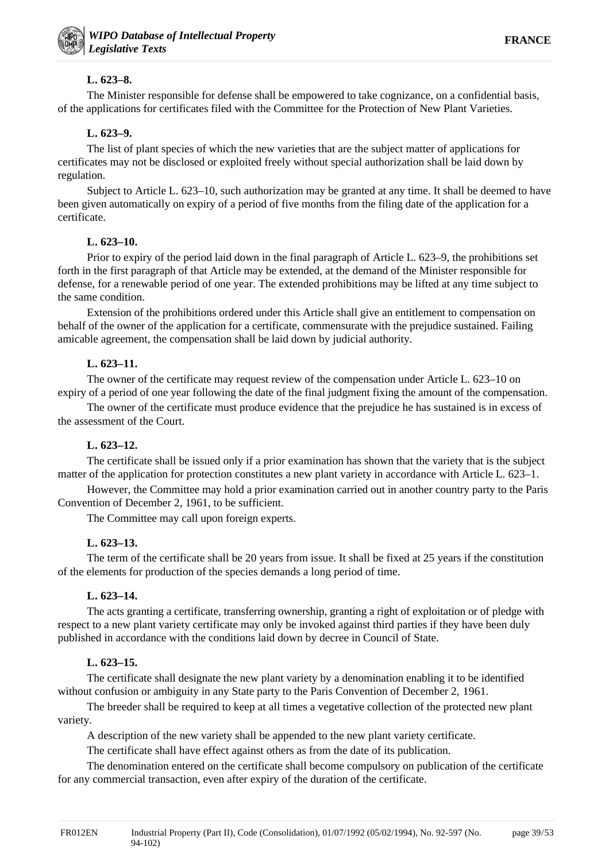# **L. 623–8.**

The Minister responsible for defense shall be empowered to take cognizance, on a confidential basis, of the applications for certificates filed with the Committee for the Protection of New Plant Varieties.

# **L. 623–9.**

The list of plant species of which the new varieties that are the subject matter of applications for certificates may not be disclosed or exploited freely without special authorization shall be laid down by regulation.

Subject to Article L. 623–10, such authorization may be granted at any time. It shall be deemed to have been given automatically on expiry of a period of five months from the filing date of the application for a certificate.

# **L. 623–10.**

Prior to expiry of the period laid down in the final paragraph of Article L. 623–9, the prohibitions set forth in the first paragraph of that Article may be extended, at the demand of the Minister responsible for defense, for a renewable period of one year. The extended prohibitions may be lifted at any time subject to the same condition.

Extension of the prohibitions ordered under this Article shall give an entitlement to compensation on behalf of the owner of the application for a certificate, commensurate with the prejudice sustained. Failing amicable agreement, the compensation shall be laid down by judicial authority.

# **L. 623–11.**

The owner of the certificate may request review of the compensation under Article L. 623–10 on expiry of a period of one year following the date of the final judgment fixing the amount of the compensation.

The owner of the certificate must produce evidence that the prejudice he has sustained is in excess of the assessment of the Court.

# **L. 623–12.**

The certificate shall be issued only if a prior examination has shown that the variety that is the subject matter of the application for protection constitutes a new plant variety in accordance with Article L. 623–1.

However, the Committee may hold a prior examination carried out in another country party to the Paris Convention of December 2, 1961, to be sufficient.

The Committee may call upon foreign experts.

# **L. 623–13.**

The term of the certificate shall be 20 years from issue. It shall be fixed at 25 years if the constitution of the elements for production of the species demands a long period of time.

# **L. 623–14.**

The acts granting a certificate, transferring ownership, granting a right of exploitation or of pledge with respect to a new plant variety certificate may only be invoked against third parties if they have been duly published in accordance with the conditions laid down by decree in Council of State.

# **L. 623–15.**

The certificate shall designate the new plant variety by a denomination enabling it to be identified without confusion or ambiguity in any State party to the Paris Convention of December 2, 1961.

The breeder shall be required to keep at all times a vegetative collection of the protected new plant variety.

A description of the new variety shall be appended to the new plant variety certificate.

The certificate shall have effect against others as from the date of its publication.

The denomination entered on the certificate shall become compulsory on publication of the certificate for any commercial transaction, even after expiry of the duration of the certificate.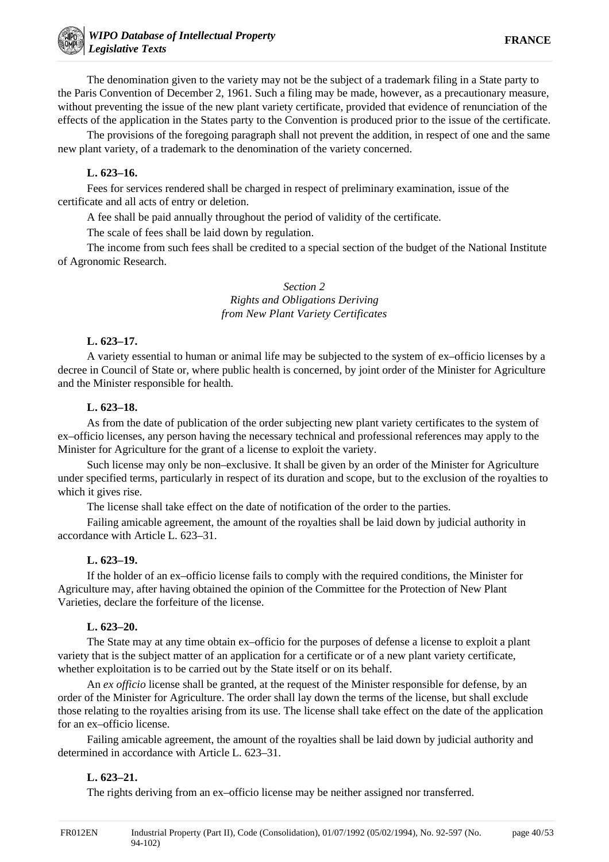The denomination given to the variety may not be the subject of a trademark filing in a State party to the Paris Convention of December 2, 1961. Such a filing may be made, however, as a precautionary measure, without preventing the issue of the new plant variety certificate, provided that evidence of renunciation of the effects of the application in the States party to the Convention is produced prior to the issue of the certificate.

The provisions of the foregoing paragraph shall not prevent the addition, in respect of one and the same new plant variety, of a trademark to the denomination of the variety concerned.

#### **L. 623–16.**

Fees for services rendered shall be charged in respect of preliminary examination, issue of the certificate and all acts of entry or deletion.

A fee shall be paid annually throughout the period of validity of the certificate.

The scale of fees shall be laid down by regulation.

The income from such fees shall be credited to a special section of the budget of the National Institute of Agronomic Research.

#### *Section 2 Rights and Obligations Deriving from New Plant Variety Certificates*

#### **L. 623–17.**

A variety essential to human or animal life may be subjected to the system of ex–officio licenses by a decree in Council of State or, where public health is concerned, by joint order of the Minister for Agriculture and the Minister responsible for health.

#### **L. 623–18.**

As from the date of publication of the order subjecting new plant variety certificates to the system of ex–officio licenses, any person having the necessary technical and professional references may apply to the Minister for Agriculture for the grant of a license to exploit the variety.

Such license may only be non–exclusive. It shall be given by an order of the Minister for Agriculture under specified terms, particularly in respect of its duration and scope, but to the exclusion of the royalties to which it gives rise.

The license shall take effect on the date of notification of the order to the parties.

Failing amicable agreement, the amount of the royalties shall be laid down by judicial authority in accordance with Article L. 623–31.

#### **L. 623–19.**

If the holder of an ex–officio license fails to comply with the required conditions, the Minister for Agriculture may, after having obtained the opinion of the Committee for the Protection of New Plant Varieties, declare the forfeiture of the license.

#### **L. 623–20.**

The State may at any time obtain ex–officio for the purposes of defense a license to exploit a plant variety that is the subject matter of an application for a certificate or of a new plant variety certificate, whether exploitation is to be carried out by the State itself or on its behalf.

An *ex officio* license shall be granted, at the request of the Minister responsible for defense, by an order of the Minister for Agriculture. The order shall lay down the terms of the license, but shall exclude those relating to the royalties arising from its use. The license shall take effect on the date of the application for an ex–officio license.

Failing amicable agreement, the amount of the royalties shall be laid down by judicial authority and determined in accordance with Article L. 623–31.

#### **L. 623–21.**

The rights deriving from an ex–officio license may be neither assigned nor transferred.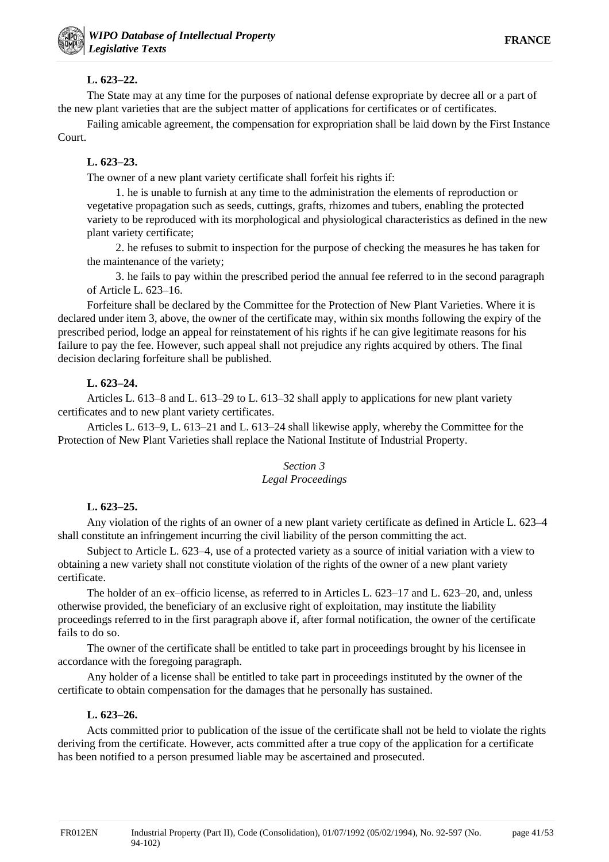page 41/53

# **L. 623–22.**

The State may at any time for the purposes of national defense expropriate by decree all or a part of the new plant varieties that are the subject matter of applications for certificates or of certificates.

Failing amicable agreement, the compensation for expropriation shall be laid down by the First Instance Court.

# **L. 623–23.**

The owner of a new plant variety certificate shall forfeit his rights if:

1. he is unable to furnish at any time to the administration the elements of reproduction or vegetative propagation such as seeds, cuttings, grafts, rhizomes and tubers, enabling the protected variety to be reproduced with its morphological and physiological characteristics as defined in the new plant variety certificate;

2. he refuses to submit to inspection for the purpose of checking the measures he has taken for the maintenance of the variety;

3. he fails to pay within the prescribed period the annual fee referred to in the second paragraph of Article L. 623–16.

Forfeiture shall be declared by the Committee for the Protection of New Plant Varieties. Where it is declared under item 3, above, the owner of the certificate may, within six months following the expiry of the prescribed period, lodge an appeal for reinstatement of his rights if he can give legitimate reasons for his failure to pay the fee. However, such appeal shall not prejudice any rights acquired by others. The final decision declaring forfeiture shall be published.

# **L. 623–24.**

Articles L. 613–8 and L. 613–29 to L. 613–32 shall apply to applications for new plant variety certificates and to new plant variety certificates.

Articles L. 613–9, L. 613–21 and L. 613–24 shall likewise apply, whereby the Committee for the Protection of New Plant Varieties shall replace the National Institute of Industrial Property.

### *Section 3 Legal Proceedings*

# **L. 623–25.**

Any violation of the rights of an owner of a new plant variety certificate as defined in Article L. 623–4 shall constitute an infringement incurring the civil liability of the person committing the act.

Subject to Article L. 623–4, use of a protected variety as a source of initial variation with a view to obtaining a new variety shall not constitute violation of the rights of the owner of a new plant variety certificate.

The holder of an ex–officio license, as referred to in Articles L. 623–17 and L. 623–20, and, unless otherwise provided, the beneficiary of an exclusive right of exploitation, may institute the liability proceedings referred to in the first paragraph above if, after formal notification, the owner of the certificate fails to do so.

The owner of the certificate shall be entitled to take part in proceedings brought by his licensee in accordance with the foregoing paragraph.

Any holder of a license shall be entitled to take part in proceedings instituted by the owner of the certificate to obtain compensation for the damages that he personally has sustained.

# **L. 623–26.**

Acts committed prior to publication of the issue of the certificate shall not be held to violate the rights deriving from the certificate. However, acts committed after a true copy of the application for a certificate has been notified to a person presumed liable may be ascertained and prosecuted.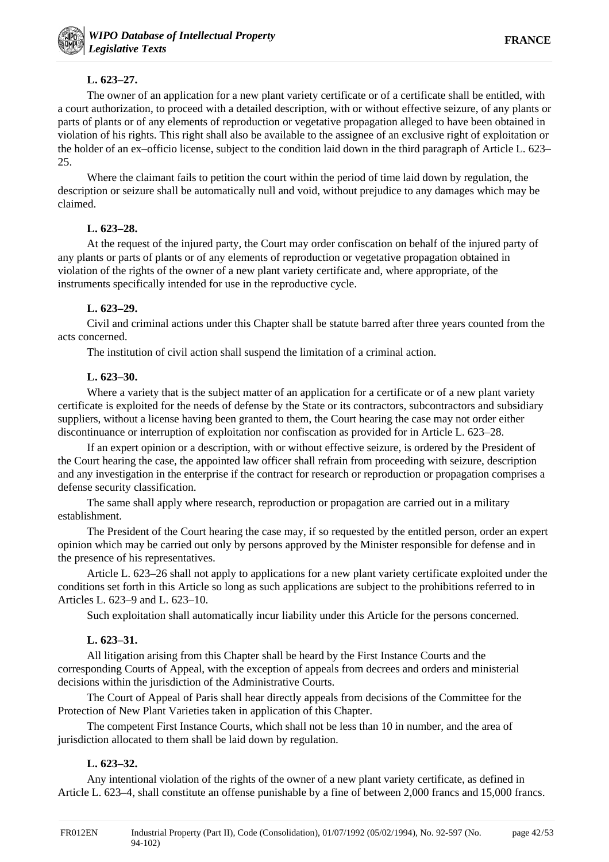### **L. 623–27.**

The owner of an application for a new plant variety certificate or of a certificate shall be entitled, with a court authorization, to proceed with a detailed description, with or without effective seizure, of any plants or parts of plants or of any elements of reproduction or vegetative propagation alleged to have been obtained in violation of his rights. This right shall also be available to the assignee of an exclusive right of exploitation or the holder of an ex–officio license, subject to the condition laid down in the third paragraph of Article L. 623– 25.

Where the claimant fails to petition the court within the period of time laid down by regulation, the description or seizure shall be automatically null and void, without prejudice to any damages which may be claimed.

### **L. 623–28.**

At the request of the injured party, the Court may order confiscation on behalf of the injured party of any plants or parts of plants or of any elements of reproduction or vegetative propagation obtained in violation of the rights of the owner of a new plant variety certificate and, where appropriate, of the instruments specifically intended for use in the reproductive cycle.

# **L. 623–29.**

Civil and criminal actions under this Chapter shall be statute barred after three years counted from the acts concerned.

The institution of civil action shall suspend the limitation of a criminal action.

### **L. 623–30.**

Where a variety that is the subject matter of an application for a certificate or of a new plant variety certificate is exploited for the needs of defense by the State or its contractors, subcontractors and subsidiary suppliers, without a license having been granted to them, the Court hearing the case may not order either discontinuance or interruption of exploitation nor confiscation as provided for in Article L. 623–28.

If an expert opinion or a description, with or without effective seizure, is ordered by the President of the Court hearing the case, the appointed law officer shall refrain from proceeding with seizure, description and any investigation in the enterprise if the contract for research or reproduction or propagation comprises a defense security classification.

The same shall apply where research, reproduction or propagation are carried out in a military establishment.

The President of the Court hearing the case may, if so requested by the entitled person, order an expert opinion which may be carried out only by persons approved by the Minister responsible for defense and in the presence of his representatives.

Article L. 623–26 shall not apply to applications for a new plant variety certificate exploited under the conditions set forth in this Article so long as such applications are subject to the prohibitions referred to in Articles L. 623–9 and L. 623–10.

Such exploitation shall automatically incur liability under this Article for the persons concerned.

# **L. 623–31.**

All litigation arising from this Chapter shall be heard by the First Instance Courts and the corresponding Courts of Appeal, with the exception of appeals from decrees and orders and ministerial decisions within the jurisdiction of the Administrative Courts.

The Court of Appeal of Paris shall hear directly appeals from decisions of the Committee for the Protection of New Plant Varieties taken in application of this Chapter.

The competent First Instance Courts, which shall not be less than 10 in number, and the area of jurisdiction allocated to them shall be laid down by regulation.

# **L. 623–32.**

Any intentional violation of the rights of the owner of a new plant variety certificate, as defined in Article L. 623–4, shall constitute an offense punishable by a fine of between 2,000 francs and 15,000 francs.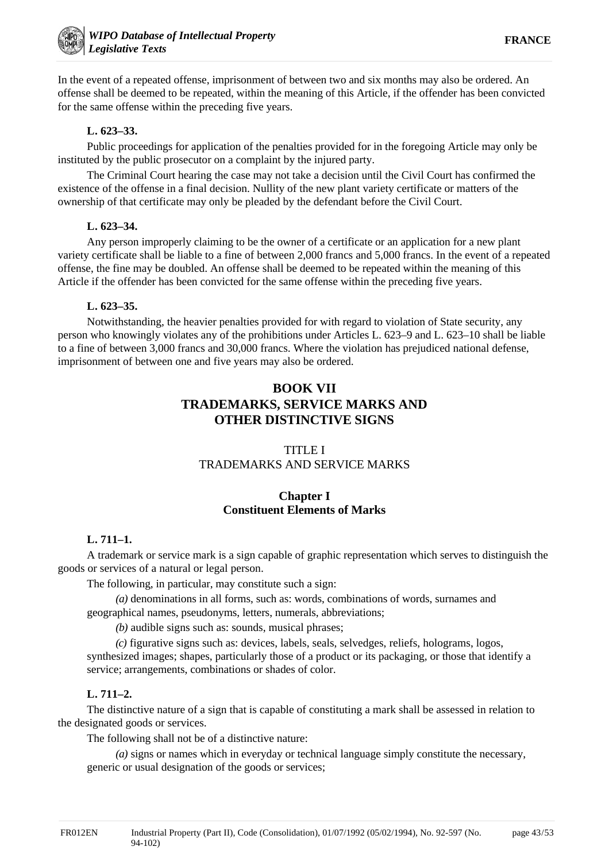In the event of a repeated offense, imprisonment of between two and six months may also be ordered. An offense shall be deemed to be repeated, within the meaning of this Article, if the offender has been convicted for the same offense within the preceding five years.

### **L. 623–33.**

Public proceedings for application of the penalties provided for in the foregoing Article may only be instituted by the public prosecutor on a complaint by the injured party.

The Criminal Court hearing the case may not take a decision until the Civil Court has confirmed the existence of the offense in a final decision. Nullity of the new plant variety certificate or matters of the ownership of that certificate may only be pleaded by the defendant before the Civil Court.

#### **L. 623–34.**

Any person improperly claiming to be the owner of a certificate or an application for a new plant variety certificate shall be liable to a fine of between 2,000 francs and 5,000 francs. In the event of a repeated offense, the fine may be doubled. An offense shall be deemed to be repeated within the meaning of this Article if the offender has been convicted for the same offense within the preceding five years.

# **L. 623–35.**

Notwithstanding, the heavier penalties provided for with regard to violation of State security, any person who knowingly violates any of the prohibitions under Articles L. 623–9 and L. 623–10 shall be liable to a fine of between 3,000 francs and 30,000 francs. Where the violation has prejudiced national defense, imprisonment of between one and five years may also be ordered.

# **BOOK VII TRADEMARKS, SERVICE MARKS AND OTHER DISTINCTIVE SIGNS**

# TITLE I TRADEMARKS AND SERVICE MARKS

# **Chapter I Constituent Elements of Marks**

# **L. 711–1.**

A trademark or service mark is a sign capable of graphic representation which serves to distinguish the goods or services of a natural or legal person.

The following, in particular, may constitute such a sign:

*(a)* denominations in all forms, such as: words, combinations of words, surnames and geographical names, pseudonyms, letters, numerals, abbreviations;

*(b)* audible signs such as: sounds, musical phrases;

*(c)* figurative signs such as: devices, labels, seals, selvedges, reliefs, holograms, logos, synthesized images; shapes, particularly those of a product or its packaging, or those that identify a service; arrangements, combinations or shades of color.

# **L. 711–2.**

The distinctive nature of a sign that is capable of constituting a mark shall be assessed in relation to the designated goods or services.

The following shall not be of a distinctive nature:

*(a)* signs or names which in everyday or technical language simply constitute the necessary, generic or usual designation of the goods or services;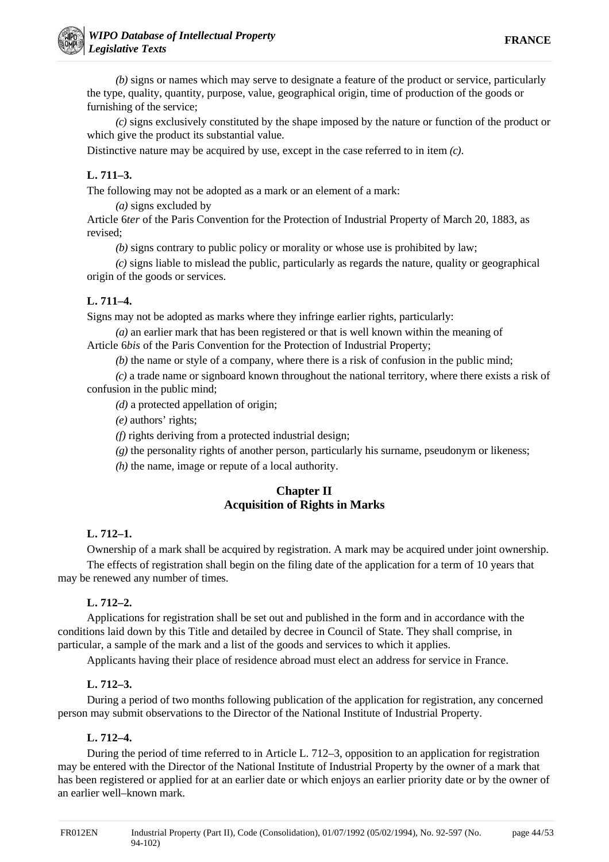*(b)* signs or names which may serve to designate a feature of the product or service, particularly the type, quality, quantity, purpose, value, geographical origin, time of production of the goods or furnishing of the service;

*(c)* signs exclusively constituted by the shape imposed by the nature or function of the product or which give the product its substantial value.

Distinctive nature may be acquired by use, except in the case referred to in item *(c)*.

# **L. 711–3.**

The following may not be adopted as a mark or an element of a mark:

*(a)* signs excluded by

Article 6*ter* of the Paris Convention for the Protection of Industrial Property of March 20, 1883, as revised;

*(b)* signs contrary to public policy or morality or whose use is prohibited by law;

*(c)* signs liable to mislead the public, particularly as regards the nature, quality or geographical origin of the goods or services.

# **L. 711–4.**

Signs may not be adopted as marks where they infringe earlier rights, particularly:

*(a)* an earlier mark that has been registered or that is well known within the meaning of Article 6*bis* of the Paris Convention for the Protection of Industrial Property;

*(b)* the name or style of a company, where there is a risk of confusion in the public mind;

*(c)* a trade name or signboard known throughout the national territory, where there exists a risk of confusion in the public mind;

*(d)* a protected appellation of origin;

*(e)* authors' rights;

*(f)* rights deriving from a protected industrial design;

*(g)* the personality rights of another person, particularly his surname, pseudonym or likeness;

*(h)* the name, image or repute of a local authority.

# **Chapter II Acquisition of Rights in Marks**

# **L. 712–1.**

Ownership of a mark shall be acquired by registration. A mark may be acquired under joint ownership.

The effects of registration shall begin on the filing date of the application for a term of 10 years that may be renewed any number of times.

# **L. 712–2.**

Applications for registration shall be set out and published in the form and in accordance with the conditions laid down by this Title and detailed by decree in Council of State. They shall comprise, in particular, a sample of the mark and a list of the goods and services to which it applies.

Applicants having their place of residence abroad must elect an address for service in France.

# **L. 712–3.**

During a period of two months following publication of the application for registration, any concerned person may submit observations to the Director of the National Institute of Industrial Property.

# **L. 712–4.**

During the period of time referred to in Article L. 712–3, opposition to an application for registration may be entered with the Director of the National Institute of Industrial Property by the owner of a mark that has been registered or applied for at an earlier date or which enjoys an earlier priority date or by the owner of an earlier well–known mark.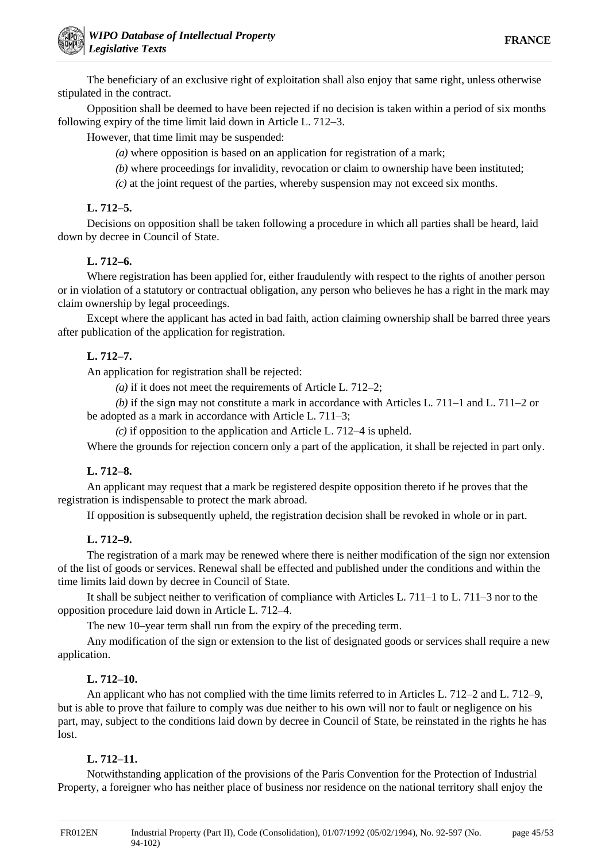The beneficiary of an exclusive right of exploitation shall also enjoy that same right, unless otherwise stipulated in the contract.

Opposition shall be deemed to have been rejected if no decision is taken within a period of six months following expiry of the time limit laid down in Article L. 712–3.

However, that time limit may be suspended:

- *(a)* where opposition is based on an application for registration of a mark;
- *(b)* where proceedings for invalidity, revocation or claim to ownership have been instituted;
- *(c)* at the joint request of the parties, whereby suspension may not exceed six months.

### **L. 712–5.**

Decisions on opposition shall be taken following a procedure in which all parties shall be heard, laid down by decree in Council of State.

### **L. 712–6.**

Where registration has been applied for, either fraudulently with respect to the rights of another person or in violation of a statutory or contractual obligation, any person who believes he has a right in the mark may claim ownership by legal proceedings.

Except where the applicant has acted in bad faith, action claiming ownership shall be barred three years after publication of the application for registration.

# **L. 712–7.**

An application for registration shall be rejected:

*(a)* if it does not meet the requirements of Article L. 712–2;

*(b)* if the sign may not constitute a mark in accordance with Articles L. 711–1 and L. 711–2 or be adopted as a mark in accordance with Article L. 711–3;

*(c)* if opposition to the application and Article L. 712–4 is upheld.

Where the grounds for rejection concern only a part of the application, it shall be rejected in part only.

#### **L. 712–8.**

An applicant may request that a mark be registered despite opposition thereto if he proves that the registration is indispensable to protect the mark abroad.

If opposition is subsequently upheld, the registration decision shall be revoked in whole or in part.

# **L. 712–9.**

The registration of a mark may be renewed where there is neither modification of the sign nor extension of the list of goods or services. Renewal shall be effected and published under the conditions and within the time limits laid down by decree in Council of State.

It shall be subject neither to verification of compliance with Articles L. 711–1 to L. 711–3 nor to the opposition procedure laid down in Article L. 712–4.

The new 10–year term shall run from the expiry of the preceding term.

Any modification of the sign or extension to the list of designated goods or services shall require a new application.

#### **L. 712–10.**

An applicant who has not complied with the time limits referred to in Articles L. 712–2 and L. 712–9, but is able to prove that failure to comply was due neither to his own will nor to fault or negligence on his part, may, subject to the conditions laid down by decree in Council of State, be reinstated in the rights he has lost.

### **L. 712–11.**

Notwithstanding application of the provisions of the Paris Convention for the Protection of Industrial Property, a foreigner who has neither place of business nor residence on the national territory shall enjoy the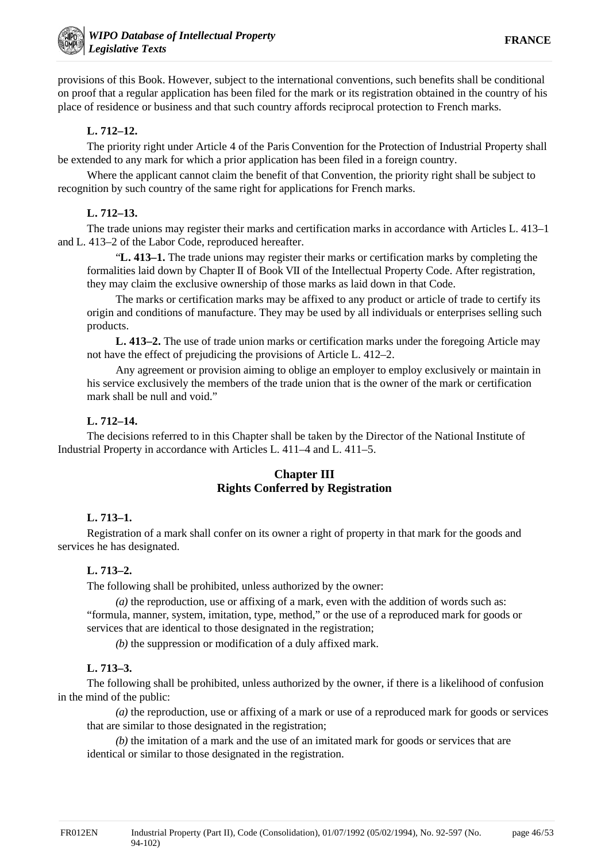provisions of this Book. However, subject to the international conventions, such benefits shall be conditional on proof that a regular application has been filed for the mark or its registration obtained in the country of his place of residence or business and that such country affords reciprocal protection to French marks.

# **L. 712–12.**

The priority right under Article 4 of the Paris Convention for the Protection of Industrial Property shall be extended to any mark for which a prior application has been filed in a foreign country.

Where the applicant cannot claim the benefit of that Convention, the priority right shall be subject to recognition by such country of the same right for applications for French marks.

# **L. 712–13.**

The trade unions may register their marks and certification marks in accordance with Articles L. 413–1 and L. 413–2 of the Labor Code, reproduced hereafter.

"**L. 413–1.** The trade unions may register their marks or certification marks by completing the formalities laid down by Chapter II of Book VII of the Intellectual Property Code. After registration, they may claim the exclusive ownership of those marks as laid down in that Code.

The marks or certification marks may be affixed to any product or article of trade to certify its origin and conditions of manufacture. They may be used by all individuals or enterprises selling such products.

**L. 413–2.** The use of trade union marks or certification marks under the foregoing Article may not have the effect of prejudicing the provisions of Article L. 412–2.

Any agreement or provision aiming to oblige an employer to employ exclusively or maintain in his service exclusively the members of the trade union that is the owner of the mark or certification mark shall be null and void."

# **L. 712–14.**

The decisions referred to in this Chapter shall be taken by the Director of the National Institute of Industrial Property in accordance with Articles L. 411–4 and L. 411–5.

# **Chapter III Rights Conferred by Registration**

# **L. 713–1.**

Registration of a mark shall confer on its owner a right of property in that mark for the goods and services he has designated.

# **L. 713–2.**

The following shall be prohibited, unless authorized by the owner:

*(a)* the reproduction, use or affixing of a mark, even with the addition of words such as: "formula, manner, system, imitation, type, method," or the use of a reproduced mark for goods or services that are identical to those designated in the registration;

*(b)* the suppression or modification of a duly affixed mark.

# **L. 713–3.**

The following shall be prohibited, unless authorized by the owner, if there is a likelihood of confusion in the mind of the public:

*(a)* the reproduction, use or affixing of a mark or use of a reproduced mark for goods or services that are similar to those designated in the registration;

*(b)* the imitation of a mark and the use of an imitated mark for goods or services that are identical or similar to those designated in the registration.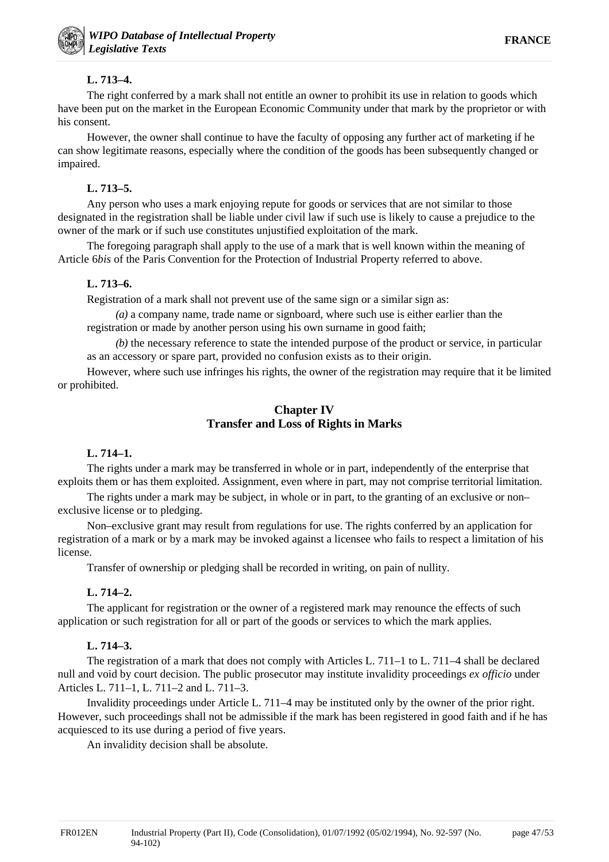# **L. 713–4.**

The right conferred by a mark shall not entitle an owner to prohibit its use in relation to goods which have been put on the market in the European Economic Community under that mark by the proprietor or with his consent.

However, the owner shall continue to have the faculty of opposing any further act of marketing if he can show legitimate reasons, especially where the condition of the goods has been subsequently changed or impaired.

# **L. 713–5.**

Any person who uses a mark enjoying repute for goods or services that are not similar to those designated in the registration shall be liable under civil law if such use is likely to cause a prejudice to the owner of the mark or if such use constitutes unjustified exploitation of the mark.

The foregoing paragraph shall apply to the use of a mark that is well known within the meaning of Article 6*bis* of the Paris Convention for the Protection of Industrial Property referred to above.

# **L. 713–6.**

Registration of a mark shall not prevent use of the same sign or a similar sign as:

*(a)* a company name, trade name or signboard, where such use is either earlier than the registration or made by another person using his own surname in good faith;

*(b)* the necessary reference to state the intended purpose of the product or service, in particular as an accessory or spare part, provided no confusion exists as to their origin.

However, where such use infringes his rights, the owner of the registration may require that it be limited or prohibited.

# **Chapter IV Transfer and Loss of Rights in Marks**

# **L. 714–1.**

The rights under a mark may be transferred in whole or in part, independently of the enterprise that exploits them or has them exploited. Assignment, even where in part, may not comprise territorial limitation.

The rights under a mark may be subject, in whole or in part, to the granting of an exclusive or non– exclusive license or to pledging.

Non–exclusive grant may result from regulations for use. The rights conferred by an application for registration of a mark or by a mark may be invoked against a licensee who fails to respect a limitation of his license.

Transfer of ownership or pledging shall be recorded in writing, on pain of nullity.

# **L. 714–2.**

The applicant for registration or the owner of a registered mark may renounce the effects of such application or such registration for all or part of the goods or services to which the mark applies.

# **L. 714–3.**

The registration of a mark that does not comply with Articles L. 711–1 to L. 711–4 shall be declared null and void by court decision. The public prosecutor may institute invalidity proceedings *ex officio* under Articles L. 711–1, L. 711–2 and L. 711–3.

Invalidity proceedings under Article L. 711–4 may be instituted only by the owner of the prior right. However, such proceedings shall not be admissible if the mark has been registered in good faith and if he has acquiesced to its use during a period of five years.

An invalidity decision shall be absolute.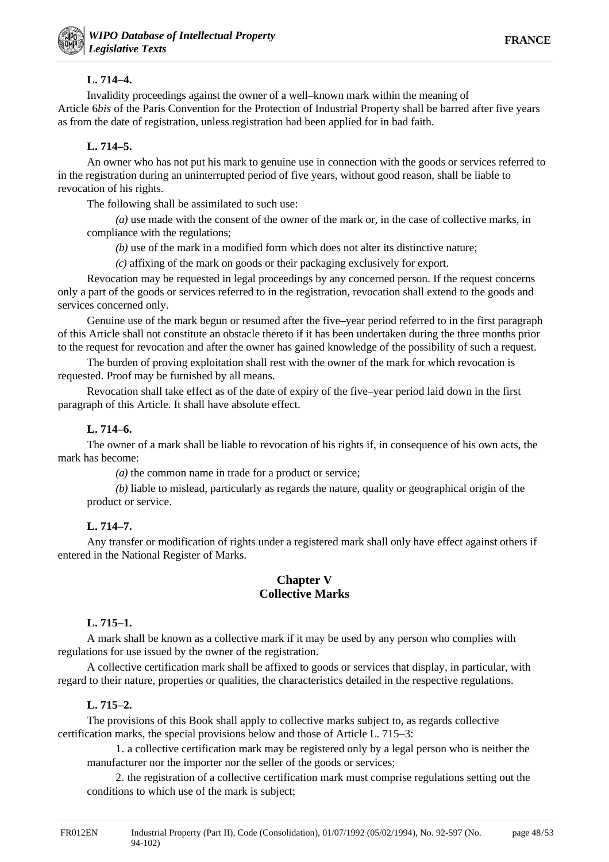### **L. 714–4.**

Invalidity proceedings against the owner of a well–known mark within the meaning of Article 6*bis* of the Paris Convention for the Protection of Industrial Property shall be barred after five years as from the date of registration, unless registration had been applied for in bad faith.

# **L. 714–5.**

An owner who has not put his mark to genuine use in connection with the goods or services referred to in the registration during an uninterrupted period of five years, without good reason, shall be liable to revocation of his rights.

The following shall be assimilated to such use:

*(a)* use made with the consent of the owner of the mark or, in the case of collective marks, in compliance with the regulations;

*(b)* use of the mark in a modified form which does not alter its distinctive nature;

*(c)* affixing of the mark on goods or their packaging exclusively for export.

Revocation may be requested in legal proceedings by any concerned person. If the request concerns only a part of the goods or services referred to in the registration, revocation shall extend to the goods and services concerned only.

Genuine use of the mark begun or resumed after the five–year period referred to in the first paragraph of this Article shall not constitute an obstacle thereto if it has been undertaken during the three months prior to the request for revocation and after the owner has gained knowledge of the possibility of such a request.

The burden of proving exploitation shall rest with the owner of the mark for which revocation is requested. Proof may be furnished by all means.

Revocation shall take effect as of the date of expiry of the five–year period laid down in the first paragraph of this Article. It shall have absolute effect.

# **L. 714–6.**

The owner of a mark shall be liable to revocation of his rights if, in consequence of his own acts, the mark has become:

*(a)* the common name in trade for a product or service;

*(b)* liable to mislead, particularly as regards the nature, quality or geographical origin of the product or service.

# **L. 714–7.**

Any transfer or modification of rights under a registered mark shall only have effect against others if entered in the National Register of Marks.

# **Chapter V Collective Marks**

### **L. 715–1.**

A mark shall be known as a collective mark if it may be used by any person who complies with regulations for use issued by the owner of the registration.

A collective certification mark shall be affixed to goods or services that display, in particular, with regard to their nature, properties or qualities, the characteristics detailed in the respective regulations.

#### **L. 715–2.**

The provisions of this Book shall apply to collective marks subject to, as regards collective certification marks, the special provisions below and those of Article L. 715–3:

1. a collective certification mark may be registered only by a legal person who is neither the manufacturer nor the importer nor the seller of the goods or services;

2. the registration of a collective certification mark must comprise regulations setting out the conditions to which use of the mark is subject;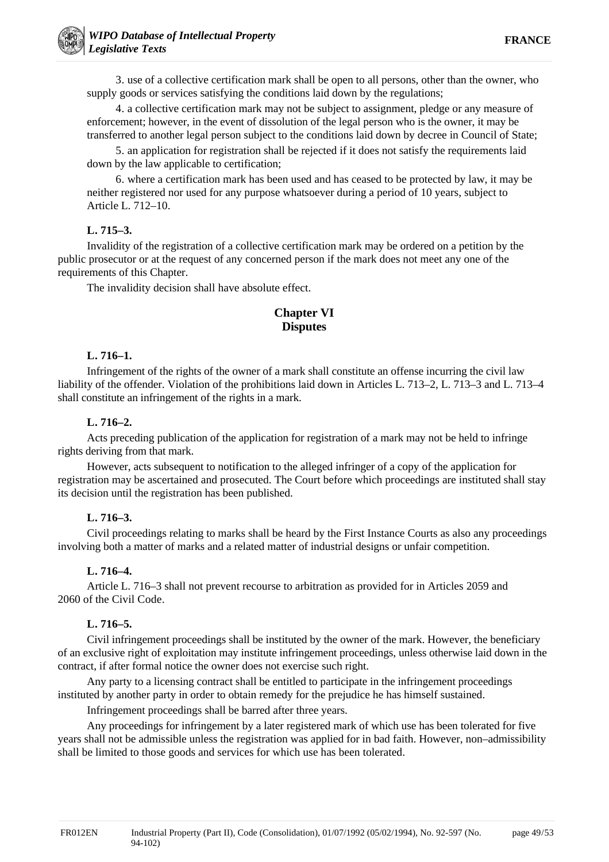3. use of a collective certification mark shall be open to all persons, other than the owner, who supply goods or services satisfying the conditions laid down by the regulations;

4. a collective certification mark may not be subject to assignment, pledge or any measure of enforcement; however, in the event of dissolution of the legal person who is the owner, it may be transferred to another legal person subject to the conditions laid down by decree in Council of State;

5. an application for registration shall be rejected if it does not satisfy the requirements laid down by the law applicable to certification;

6. where a certification mark has been used and has ceased to be protected by law, it may be neither registered nor used for any purpose whatsoever during a period of 10 years, subject to Article L. 712–10.

### **L. 715–3.**

Invalidity of the registration of a collective certification mark may be ordered on a petition by the public prosecutor or at the request of any concerned person if the mark does not meet any one of the requirements of this Chapter.

The invalidity decision shall have absolute effect.

# **Chapter VI Disputes**

### **L. 716–1.**

Infringement of the rights of the owner of a mark shall constitute an offense incurring the civil law liability of the offender. Violation of the prohibitions laid down in Articles L. 713–2, L. 713–3 and L. 713–4 shall constitute an infringement of the rights in a mark.

# **L. 716–2.**

Acts preceding publication of the application for registration of a mark may not be held to infringe rights deriving from that mark.

However, acts subsequent to notification to the alleged infringer of a copy of the application for registration may be ascertained and prosecuted. The Court before which proceedings are instituted shall stay its decision until the registration has been published.

# **L. 716–3.**

Civil proceedings relating to marks shall be heard by the First Instance Courts as also any proceedings involving both a matter of marks and a related matter of industrial designs or unfair competition.

# **L. 716–4.**

Article L. 716–3 shall not prevent recourse to arbitration as provided for in Articles 2059 and 2060 of the Civil Code.

# **L. 716–5.**

Civil infringement proceedings shall be instituted by the owner of the mark. However, the beneficiary of an exclusive right of exploitation may institute infringement proceedings, unless otherwise laid down in the contract, if after formal notice the owner does not exercise such right.

Any party to a licensing contract shall be entitled to participate in the infringement proceedings instituted by another party in order to obtain remedy for the prejudice he has himself sustained.

Infringement proceedings shall be barred after three years.

Any proceedings for infringement by a later registered mark of which use has been tolerated for five years shall not be admissible unless the registration was applied for in bad faith. However, non–admissibility shall be limited to those goods and services for which use has been tolerated.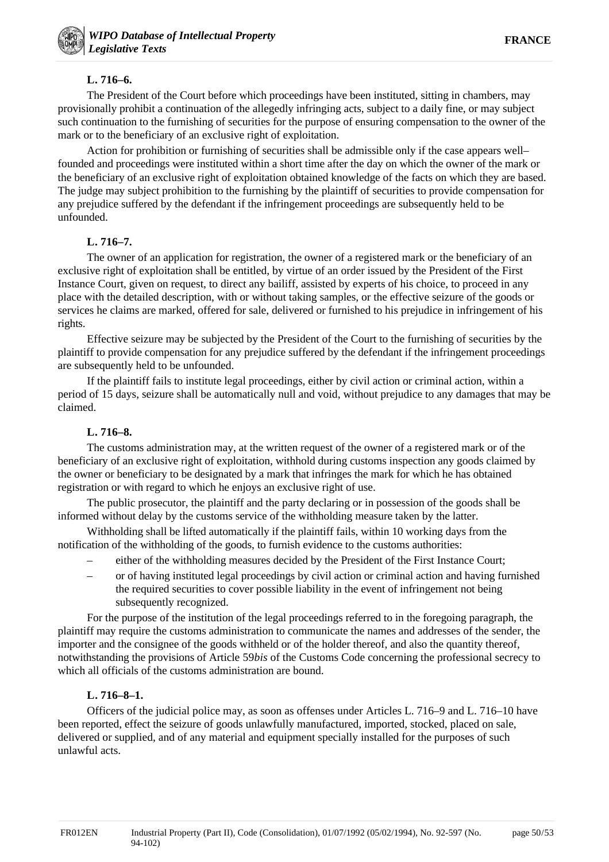# **L. 716–6.**

The President of the Court before which proceedings have been instituted, sitting in chambers, may provisionally prohibit a continuation of the allegedly infringing acts, subject to a daily fine, or may subject such continuation to the furnishing of securities for the purpose of ensuring compensation to the owner of the mark or to the beneficiary of an exclusive right of exploitation.

Action for prohibition or furnishing of securities shall be admissible only if the case appears well– founded and proceedings were instituted within a short time after the day on which the owner of the mark or the beneficiary of an exclusive right of exploitation obtained knowledge of the facts on which they are based. The judge may subject prohibition to the furnishing by the plaintiff of securities to provide compensation for any prejudice suffered by the defendant if the infringement proceedings are subsequently held to be unfounded.

# **L. 716–7.**

The owner of an application for registration, the owner of a registered mark or the beneficiary of an exclusive right of exploitation shall be entitled, by virtue of an order issued by the President of the First Instance Court, given on request, to direct any bailiff, assisted by experts of his choice, to proceed in any place with the detailed description, with or without taking samples, or the effective seizure of the goods or services he claims are marked, offered for sale, delivered or furnished to his prejudice in infringement of his rights.

Effective seizure may be subjected by the President of the Court to the furnishing of securities by the plaintiff to provide compensation for any prejudice suffered by the defendant if the infringement proceedings are subsequently held to be unfounded.

If the plaintiff fails to institute legal proceedings, either by civil action or criminal action, within a period of 15 days, seizure shall be automatically null and void, without prejudice to any damages that may be claimed.

# **L. 716–8.**

The customs administration may, at the written request of the owner of a registered mark or of the beneficiary of an exclusive right of exploitation, withhold during customs inspection any goods claimed by the owner or beneficiary to be designated by a mark that infringes the mark for which he has obtained registration or with regard to which he enjoys an exclusive right of use.

The public prosecutor, the plaintiff and the party declaring or in possession of the goods shall be informed without delay by the customs service of the withholding measure taken by the latter.

Withholding shall be lifted automatically if the plaintiff fails, within 10 working days from the notification of the withholding of the goods, to furnish evidence to the customs authorities:

- either of the withholding measures decided by the President of the First Instance Court;
- or of having instituted legal proceedings by civil action or criminal action and having furnished the required securities to cover possible liability in the event of infringement not being subsequently recognized.

For the purpose of the institution of the legal proceedings referred to in the foregoing paragraph, the plaintiff may require the customs administration to communicate the names and addresses of the sender, the importer and the consignee of the goods withheld or of the holder thereof, and also the quantity thereof, notwithstanding the provisions of Article 59*bis* of the Customs Code concerning the professional secrecy to which all officials of the customs administration are bound.

#### **L. 716–8–1.**

Officers of the judicial police may, as soon as offenses under Articles L. 716–9 and L. 716–10 have been reported, effect the seizure of goods unlawfully manufactured, imported, stocked, placed on sale, delivered or supplied, and of any material and equipment specially installed for the purposes of such unlawful acts.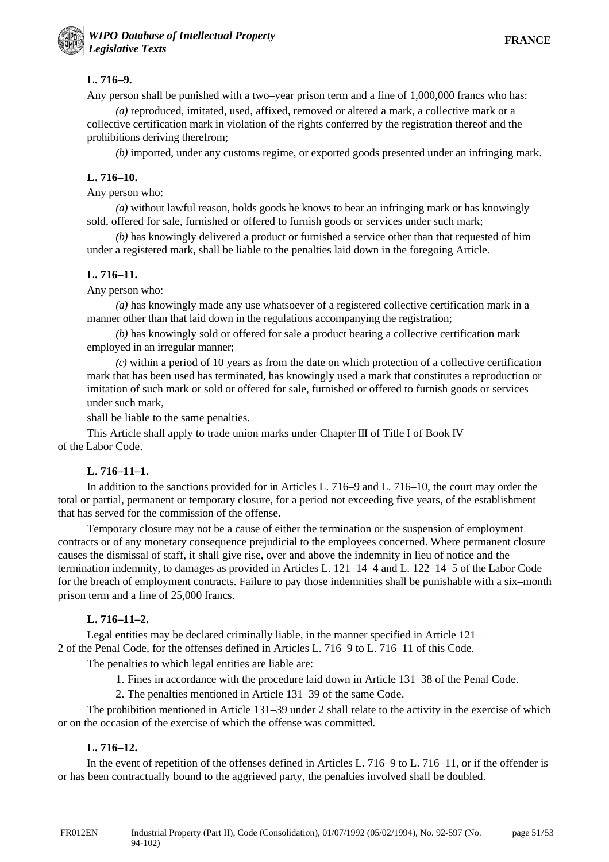# **L. 716–9.**

Any person shall be punished with a two–year prison term and a fine of 1,000,000 francs who has:

*(a)* reproduced, imitated, used, affixed, removed or altered a mark, a collective mark or a collective certification mark in violation of the rights conferred by the registration thereof and the prohibitions deriving therefrom;

*(b)* imported, under any customs regime, or exported goods presented under an infringing mark.

# **L. 716–10.**

Any person who:

*(a)* without lawful reason, holds goods he knows to bear an infringing mark or has knowingly sold, offered for sale, furnished or offered to furnish goods or services under such mark;

*(b)* has knowingly delivered a product or furnished a service other than that requested of him under a registered mark, shall be liable to the penalties laid down in the foregoing Article.

# **L. 716–11.**

Any person who:

*(a)* has knowingly made any use whatsoever of a registered collective certification mark in a manner other than that laid down in the regulations accompanying the registration;

*(b)* has knowingly sold or offered for sale a product bearing a collective certification mark employed in an irregular manner;

*(c)* within a period of 10 years as from the date on which protection of a collective certification mark that has been used has terminated, has knowingly used a mark that constitutes a reproduction or imitation of such mark or sold or offered for sale, furnished or offered to furnish goods or services under such mark,

shall be liable to the same penalties.

This Article shall apply to trade union marks under Chapter III of Title I of Book IV of the Labor Code.

# **L. 716–11–1.**

In addition to the sanctions provided for in Articles L. 716–9 and L. 716–10, the court may order the total or partial, permanent or temporary closure, for a period not exceeding five years, of the establishment that has served for the commission of the offense.

Temporary closure may not be a cause of either the termination or the suspension of employment contracts or of any monetary consequence prejudicial to the employees concerned. Where permanent closure causes the dismissal of staff, it shall give rise, over and above the indemnity in lieu of notice and the termination indemnity, to damages as provided in Articles L. 121–14–4 and L. 122–14–5 of the Labor Code for the breach of employment contracts. Failure to pay those indemnities shall be punishable with a six–month prison term and a fine of 25,000 francs.

# **L. 716–11–2.**

Legal entities may be declared criminally liable, in the manner specified in Article 121– 2 of the Penal Code, for the offenses defined in Articles L. 716–9 to L. 716–11 of this Code.

The penalties to which legal entities are liable are:

1. Fines in accordance with the procedure laid down in Article 131–38 of the Penal Code.

2. The penalties mentioned in Article 131–39 of the same Code.

The prohibition mentioned in Article 131–39 under 2 shall relate to the activity in the exercise of which or on the occasion of the exercise of which the offense was committed.

# **L. 716–12.**

In the event of repetition of the offenses defined in Articles L. 716–9 to L. 716–11, or if the offender is or has been contractually bound to the aggrieved party, the penalties involved shall be doubled.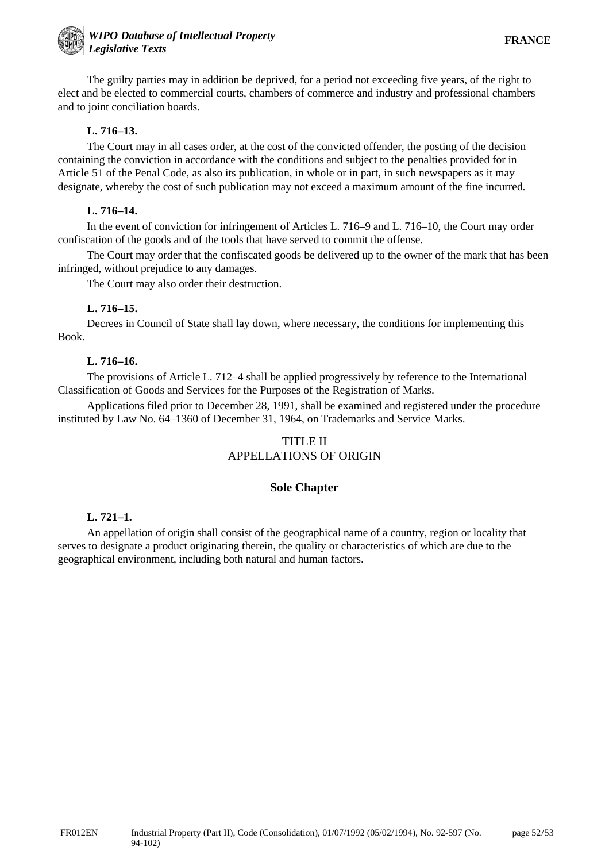The guilty parties may in addition be deprived, for a period not exceeding five years, of the right to elect and be elected to commercial courts, chambers of commerce and industry and professional chambers and to joint conciliation boards.

### **L. 716–13.**

The Court may in all cases order, at the cost of the convicted offender, the posting of the decision containing the conviction in accordance with the conditions and subject to the penalties provided for in Article 51 of the Penal Code, as also its publication, in whole or in part, in such newspapers as it may designate, whereby the cost of such publication may not exceed a maximum amount of the fine incurred.

### **L. 716–14.**

In the event of conviction for infringement of Articles L. 716–9 and L. 716–10, the Court may order confiscation of the goods and of the tools that have served to commit the offense.

The Court may order that the confiscated goods be delivered up to the owner of the mark that has been infringed, without prejudice to any damages.

The Court may also order their destruction.

### **L. 716–15.**

Decrees in Council of State shall lay down, where necessary, the conditions for implementing this Book.

### **L. 716–16.**

The provisions of Article L. 712–4 shall be applied progressively by reference to the International Classification of Goods and Services for the Purposes of the Registration of Marks.

Applications filed prior to December 28, 1991, shall be examined and registered under the procedure instituted by Law No. 64–1360 of December 31, 1964, on Trademarks and Service Marks.

# TITLE II APPELLATIONS OF ORIGIN

#### **Sole Chapter**

#### **L. 721–1.**

An appellation of origin shall consist of the geographical name of a country, region or locality that serves to designate a product originating therein, the quality or characteristics of which are due to the geographical environment, including both natural and human factors.